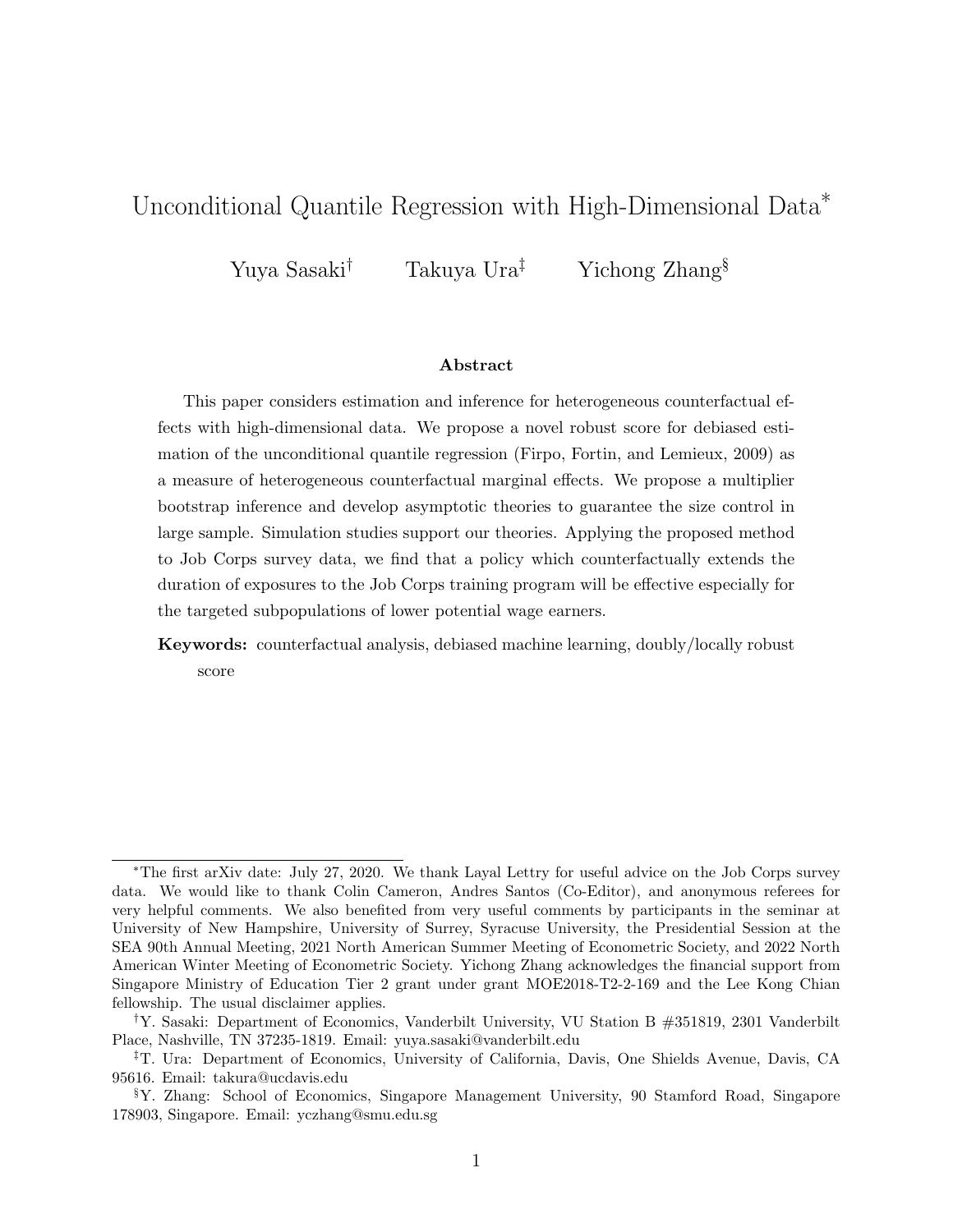# <span id="page-0-0"></span>Unconditional Quantile Regression with High-Dimensional Data<sup>∗</sup>

Yuya Sasaki<sup>†</sup> Takuya Ura<sup>‡</sup> Yichong Zhang<sup>§</sup>

#### Abstract

This paper considers estimation and inference for heterogeneous counterfactual effects with high-dimensional data. We propose a novel robust score for debiased estimation of the unconditional quantile regression [\(Firpo, Fortin, and Lemieux, 2009\)](#page-21-0) as a measure of heterogeneous counterfactual marginal effects. We propose a multiplier bootstrap inference and develop asymptotic theories to guarantee the size control in large sample. Simulation studies support our theories. Applying the proposed method to Job Corps survey data, we find that a policy which counterfactually extends the duration of exposures to the Job Corps training program will be effective especially for the targeted subpopulations of lower potential wage earners.

Keywords: counterfactual analysis, debiased machine learning, doubly/locally robust score

<sup>∗</sup>The first arXiv date: July 27, 2020. We thank Layal Lettry for useful advice on the Job Corps survey data. We would like to thank Colin Cameron, Andres Santos (Co-Editor), and anonymous referees for very helpful comments. We also benefited from very useful comments by participants in the seminar at University of New Hampshire, University of Surrey, Syracuse University, the Presidential Session at the SEA 90th Annual Meeting, 2021 North American Summer Meeting of Econometric Society, and 2022 North American Winter Meeting of Econometric Society. Yichong Zhang acknowledges the financial support from Singapore Ministry of Education Tier 2 grant under grant MOE2018-T2-2-169 and the Lee Kong Chian fellowship. The usual disclaimer applies.

<sup>†</sup>Y. Sasaki: Department of Economics, Vanderbilt University, VU Station B #351819, 2301 Vanderbilt Place, Nashville, TN 37235-1819. Email: yuya.sasaki@vanderbilt.edu

<sup>‡</sup>T. Ura: Department of Economics, University of California, Davis, One Shields Avenue, Davis, CA 95616. Email: takura@ucdavis.edu

<sup>§</sup>Y. Zhang: School of Economics, Singapore Management University, 90 Stamford Road, Singapore 178903, Singapore. Email: yczhang@smu.edu.sg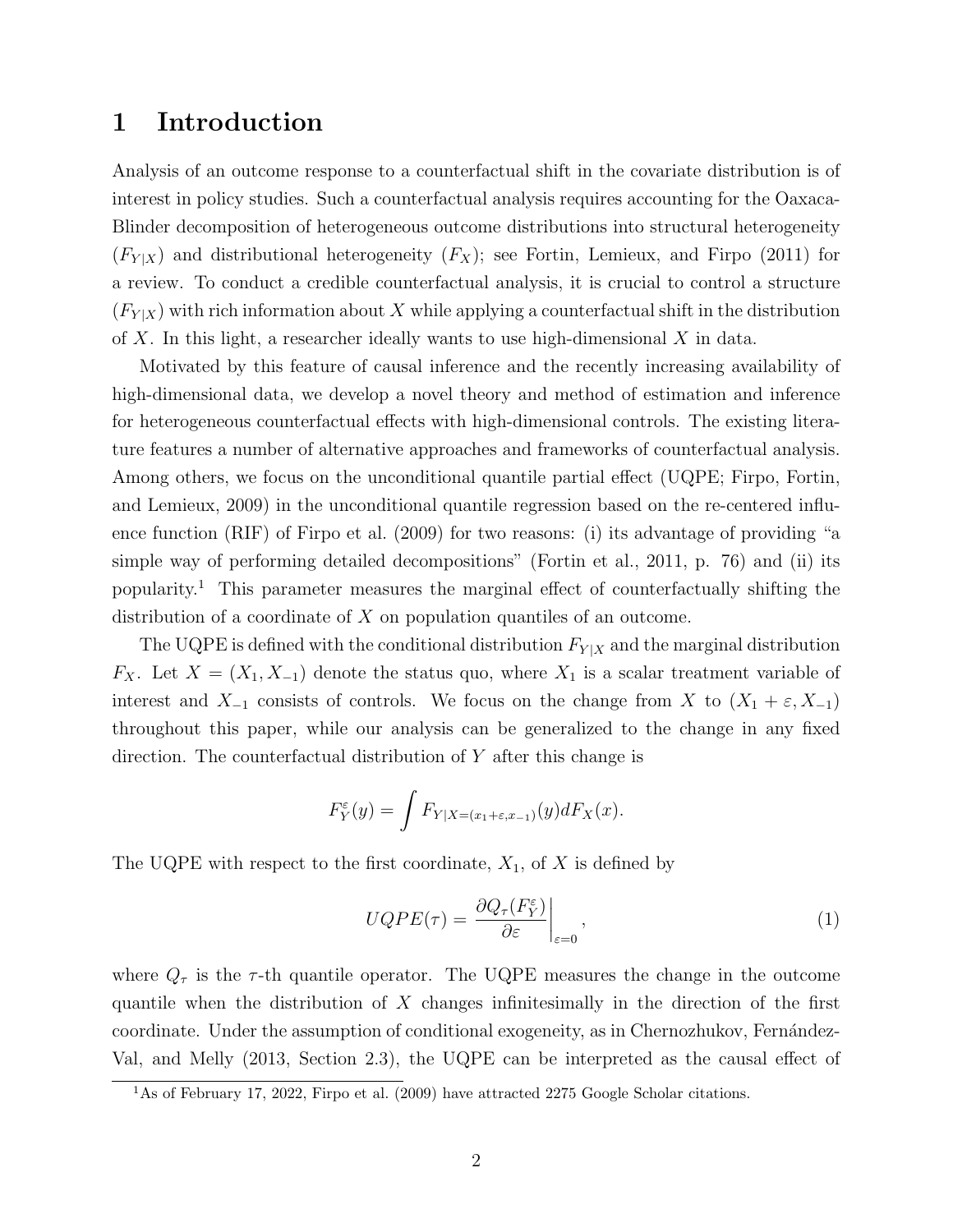### 1 Introduction

Analysis of an outcome response to a counterfactual shift in the covariate distribution is of interest in policy studies. Such a counterfactual analysis requires accounting for the Oaxaca-Blinder decomposition of heterogeneous outcome distributions into structural heterogeneity  $(F_{Y|X})$  and distributional heterogeneity  $(F_X)$ ; see [Fortin, Lemieux, and Firpo](#page-21-1) [\(2011\)](#page-21-1) for a review. To conduct a credible counterfactual analysis, it is crucial to control a structure  $(F_{Y|X})$  with rich information about X while applying a counterfactual shift in the distribution of X. In this light, a researcher ideally wants to use high-dimensional  $X$  in data.

Motivated by this feature of causal inference and the recently increasing availability of high-dimensional data, we develop a novel theory and method of estimation and inference for heterogeneous counterfactual effects with high-dimensional controls. The existing literature features a number of alternative approaches and frameworks of counterfactual analysis. Among others, we focus on the unconditional quantile partial effect (UQPE; [Firpo, Fortin,](#page-21-0) [and Lemieux, 2009\)](#page-21-0) in the unconditional quantile regression based on the re-centered influence function (RIF) of [Firpo et al.](#page-21-0) [\(2009\)](#page-21-0) for two reasons: (i) its advantage of providing "a simple way of performing detailed decompositions" [\(Fortin et al., 2011,](#page-21-1) p. 76) and (ii) its popularity.[1](#page-1-0) This parameter measures the marginal effect of counterfactually shifting the distribution of a coordinate of  $X$  on population quantiles of an outcome.

The UQPE is defined with the conditional distribution  $F_{Y|X}$  and the marginal distribution  $F_X$ . Let  $X = (X_1, X_{-1})$  denote the status quo, where  $X_1$  is a scalar treatment variable of interest and  $X_{-1}$  consists of controls. We focus on the change from X to  $(X_1 + \varepsilon, X_{-1})$ throughout this paper, while our analysis can be generalized to the change in any fixed direction. The counterfactual distribution of Y after this change is

$$
F_Y^{\varepsilon}(y) = \int F_{Y|X=(x_1+\varepsilon,x_{-1})}(y) dF_X(x).
$$

The UQPE with respect to the first coordinate,  $X_1$ , of X is defined by

<span id="page-1-1"></span>
$$
UQPE(\tau) = \left. \frac{\partial Q_{\tau}(F_Y^{\varepsilon})}{\partial \varepsilon} \right|_{\varepsilon=0},\tag{1}
$$

where  $Q_{\tau}$  is the  $\tau$ -th quantile operator. The UQPE measures the change in the outcome quantile when the distribution of  $X$  changes infinitesimally in the direction of the first coordinate. Under the assumption of conditional exogeneity, as in Chernozhukov, Fernández-[Val, and Melly](#page-21-2) [\(2013,](#page-21-2) Section 2.3), the UQPE can be interpreted as the causal effect of

<span id="page-1-0"></span><sup>&</sup>lt;sup>1</sup>As of February 17, 2022, [Firpo et al.](#page-21-0) [\(2009\)](#page-21-0) have attracted 2275 Google Scholar citations.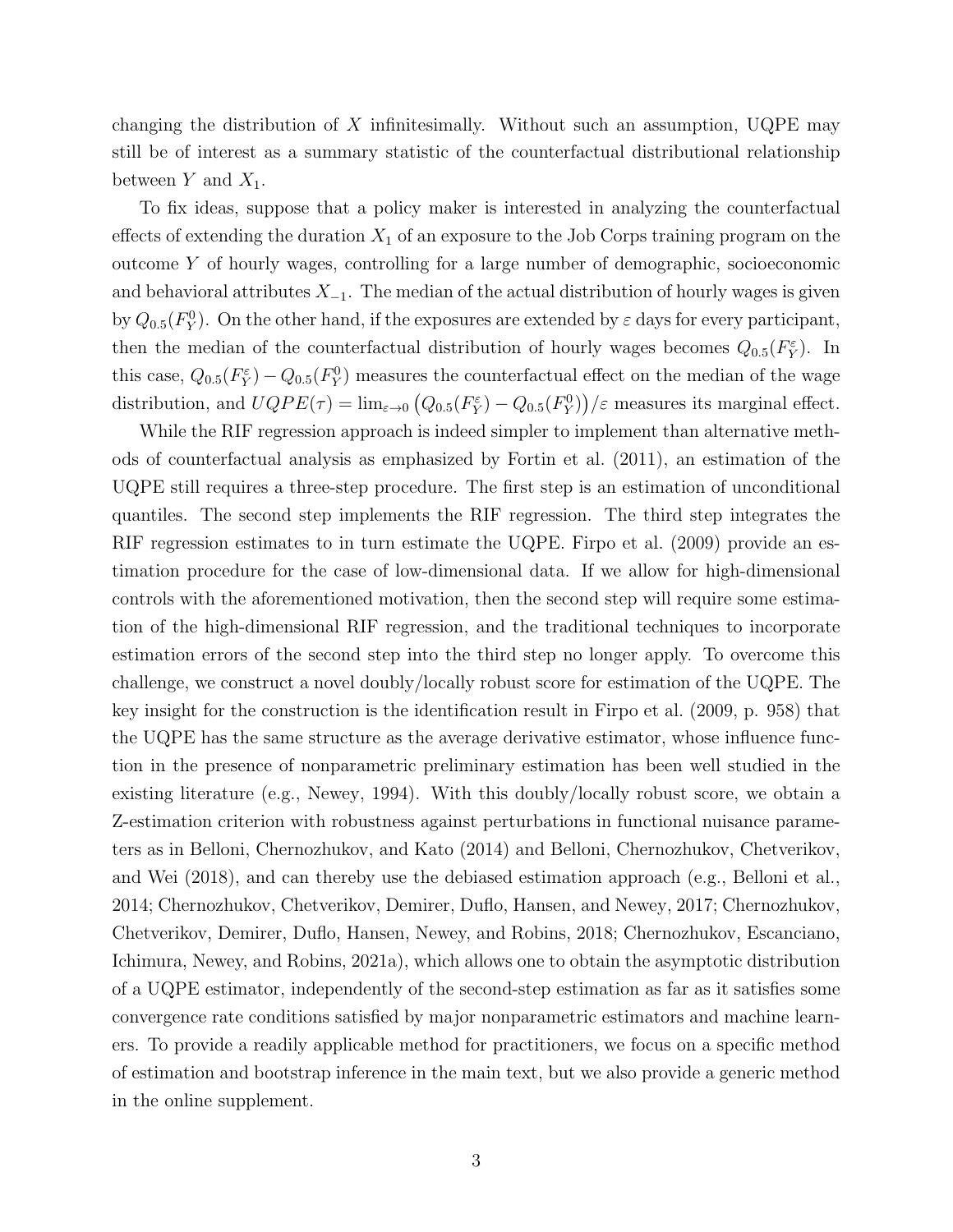changing the distribution of  $X$  infinitesimally. Without such an assumption, UQPE may still be of interest as a summary statistic of the counterfactual distributional relationship between Y and  $X_1$ .

To fix ideas, suppose that a policy maker is interested in analyzing the counterfactual effects of extending the duration  $X_1$  of an exposure to the Job Corps training program on the outcome Y of hourly wages, controlling for a large number of demographic, socioeconomic and behavioral attributes  $X_{-1}$ . The median of the actual distribution of hourly wages is given by  $Q_{0.5}(F_Y^0)$ . On the other hand, if the exposures are extended by  $\varepsilon$  days for every participant, then the median of the counterfactual distribution of hourly wages becomes  $Q_{0.5}(F_Y^{\varepsilon})$ . In this case,  $Q_{0.5}(F_Y^{\varepsilon}) - Q_{0.5}(F_Y^0)$  measures the counterfactual effect on the median of the wage distribution, and  $UQPE(\tau) = \lim_{\varepsilon \to 0} (Q_{0.5}(F_Y^{\varepsilon}) - Q_{0.5}(F_Y^0))/\varepsilon$  measures its marginal effect.

While the RIF regression approach is indeed simpler to implement than alternative methods of counterfactual analysis as emphasized by [Fortin et al.](#page-21-1) [\(2011\)](#page-21-1), an estimation of the UQPE still requires a three-step procedure. The first step is an estimation of unconditional quantiles. The second step implements the RIF regression. The third step integrates the RIF regression estimates to in turn estimate the UQPE. [Firpo et al.](#page-21-0) [\(2009\)](#page-21-0) provide an estimation procedure for the case of low-dimensional data. If we allow for high-dimensional controls with the aforementioned motivation, then the second step will require some estimation of the high-dimensional RIF regression, and the traditional techniques to incorporate estimation errors of the second step into the third step no longer apply. To overcome this challenge, we construct a novel doubly/locally robust score for estimation of the UQPE. The key insight for the construction is the identification result in [Firpo et al.](#page-21-0) [\(2009,](#page-21-0) p. 958) that the UQPE has the same structure as the average derivative estimator, whose influence function in the presence of nonparametric preliminary estimation has been well studied in the existing literature (e.g., [Newey, 1994\)](#page-21-3). With this doubly/locally robust score, we obtain a Z-estimation criterion with robustness against perturbations in functional nuisance parameters as in [Belloni, Chernozhukov, and Kato](#page-20-0) [\(2014\)](#page-20-0) and [Belloni, Chernozhukov, Chetverikov,](#page-20-1) [and Wei](#page-20-1) [\(2018\)](#page-20-1), and can thereby use the debiased estimation approach (e.g., [Belloni et al.,](#page-20-0) [2014;](#page-20-0) [Chernozhukov, Chetverikov, Demirer, Duflo, Hansen, and Newey, 2017;](#page-20-2) [Chernozhukov,](#page-20-3) [Chetverikov, Demirer, Duflo, Hansen, Newey, and Robins, 2018;](#page-20-3) [Chernozhukov, Escanciano,](#page-20-4) [Ichimura, Newey, and Robins, 2021a\)](#page-20-4), which allows one to obtain the asymptotic distribution of a UQPE estimator, independently of the second-step estimation as far as it satisfies some convergence rate conditions satisfied by major nonparametric estimators and machine learners. To provide a readily applicable method for practitioners, we focus on a specific method of estimation and bootstrap inference in the main text, but we also provide a generic method in the online supplement.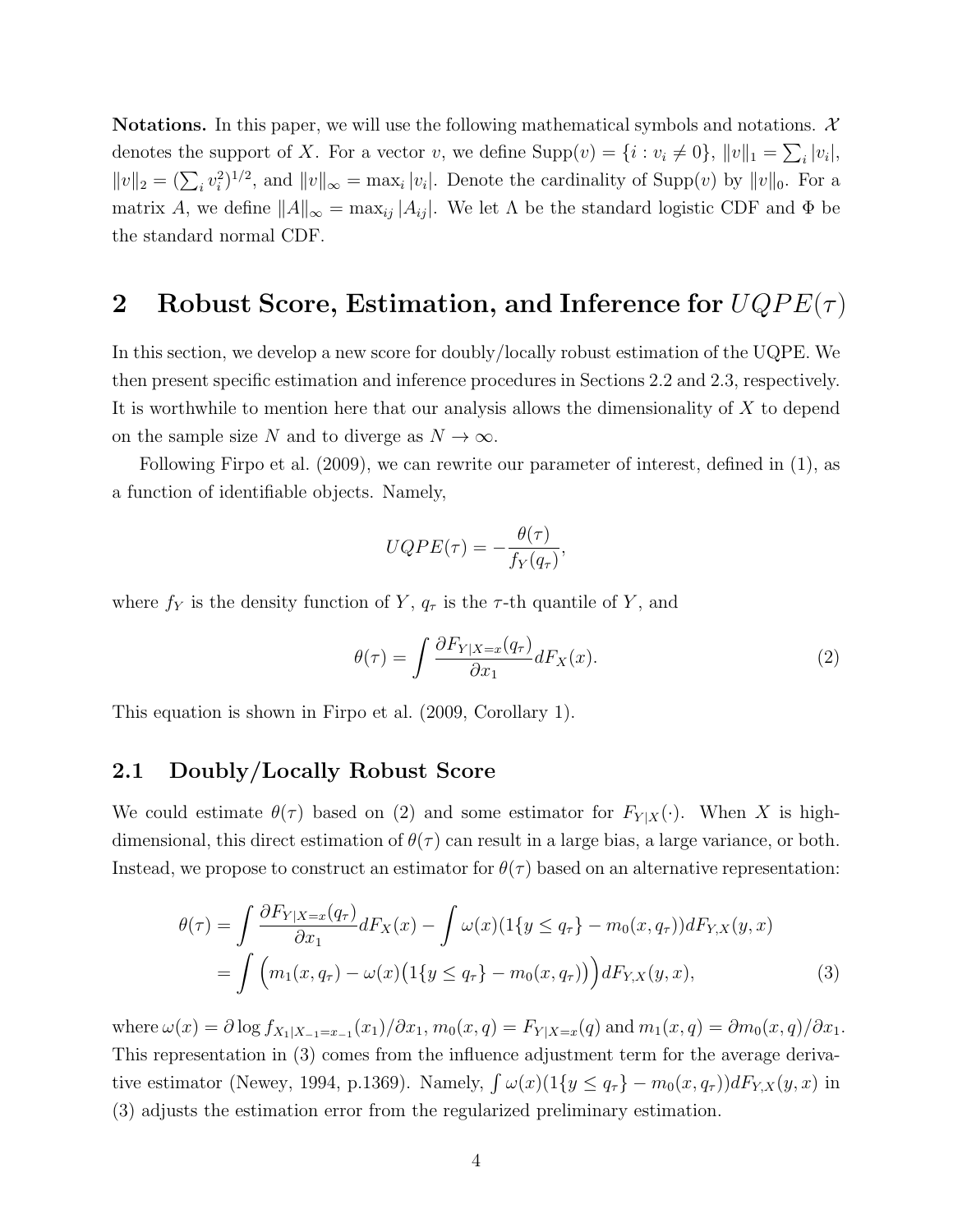**Notations.** In this paper, we will use the following mathematical symbols and notations.  $\mathcal{X}$ denotes the support of X. For a vector v, we define  $\text{Supp}(v) = \{i : v_i \neq 0\}, ||v||_1 = \sum_i |v_i|$ ,  $||v||_2 = (\sum_i v_i^2)^{1/2}$ , and  $||v||_{\infty} = \max_i |v_i|$ . Denote the cardinality of Supp(v) by  $||v||_0$ . For a matrix A, we define  $||A||_{\infty} = \max_{ij} |A_{ij}|$ . We let  $\Lambda$  be the standard logistic CDF and  $\Phi$  be the standard normal CDF.

## <span id="page-3-2"></span>2 Robust Score, Estimation, and Inference for  $UQPE(\tau)$

In this section, we develop a new score for doubly/locally robust estimation of the UQPE. We then present specific estimation and inference procedures in Sections [2.2](#page-4-0) and [2.3,](#page-7-0) respectively. It is worthwhile to mention here that our analysis allows the dimensionality of  $X$  to depend on the sample size N and to diverge as  $N \to \infty$ .

Following [Firpo et al.](#page-21-0) [\(2009\)](#page-21-0), we can rewrite our parameter of interest, defined in [\(1\)](#page-1-1), as a function of identifiable objects. Namely,

$$
UQPE(\tau) = -\frac{\theta(\tau)}{f_Y(q_\tau)},
$$

where  $f_Y$  is the density function of Y,  $q_\tau$  is the  $\tau$ -th quantile of Y, and

<span id="page-3-1"></span><span id="page-3-0"></span>
$$
\theta(\tau) = \int \frac{\partial F_{Y|X=x}(q_{\tau})}{\partial x_1} dF_X(x). \tag{2}
$$

This equation is shown in [Firpo et al.](#page-21-0) [\(2009,](#page-21-0) Corollary 1).

### 2.1 Doubly/Locally Robust Score

We could estimate  $\theta(\tau)$  based on [\(2\)](#page-3-0) and some estimator for  $F_{Y|X}(\cdot)$ . When X is highdimensional, this direct estimation of  $\theta(\tau)$  can result in a large bias, a large variance, or both. Instead, we propose to construct an estimator for  $\theta(\tau)$  based on an alternative representation:

$$
\theta(\tau) = \int \frac{\partial F_{Y|X=x}(q_{\tau})}{\partial x_1} dF_X(x) - \int \omega(x) (1\{y \le q_{\tau}\} - m_0(x, q_{\tau})) dF_{Y,X}(y, x) \n= \int \left( m_1(x, q_{\tau}) - \omega(x) (1\{y \le q_{\tau}\} - m_0(x, q_{\tau})) \right) dF_{Y,X}(y, x),
$$
\n(3)

where  $\omega(x) = \partial \log f_{X_1|X_{-1}=x_{-1}}(x_1)/\partial x_1, m_0(x, q) = F_{Y|X=x}(q)$  and  $m_1(x, q) = \partial m_0(x, q)/\partial x_1$ . This representation in [\(3\)](#page-3-1) comes from the influence adjustment term for the average deriva-tive estimator [\(Newey, 1994,](#page-21-3) p.1369). Namely,  $\int \omega(x) (1\{y \le q_\tau\} - m_0(x, q_\tau)) dF_{Y,X}(y, x)$  in [\(3\)](#page-3-1) adjusts the estimation error from the regularized preliminary estimation.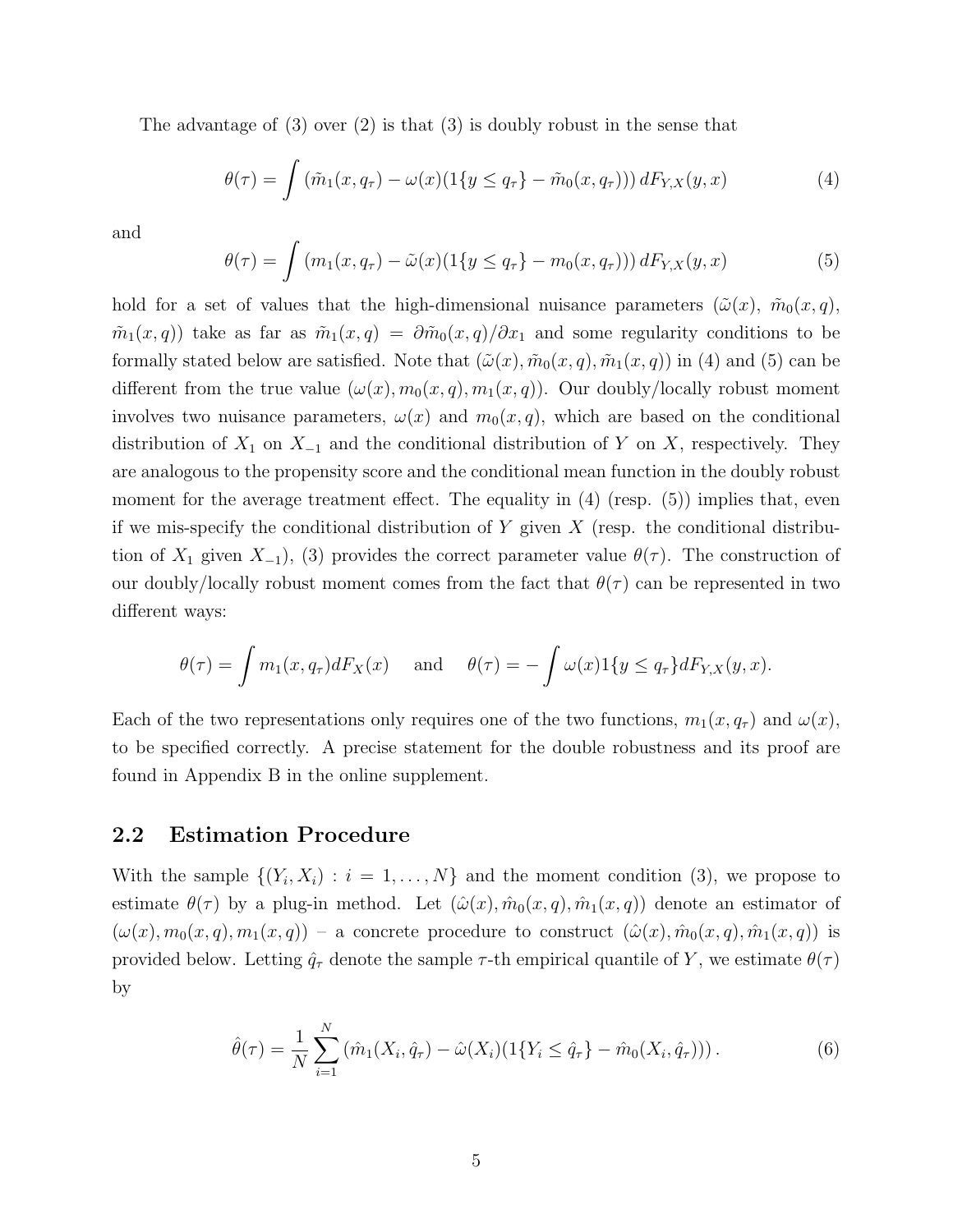The advantage of [\(3\)](#page-3-1) over [\(2\)](#page-3-0) is that [\(3\)](#page-3-1) is doubly robust in the sense that

<span id="page-4-1"></span>
$$
\theta(\tau) = \int (\tilde{m}_1(x, q_\tau) - \omega(x) (1\{y \le q_\tau\} - \tilde{m}_0(x, q_\tau))) dF_{Y,X}(y, x)
$$
(4)

and

<span id="page-4-2"></span>
$$
\theta(\tau) = \int (m_1(x, q_\tau) - \tilde{\omega}(x) (1\{y \le q_\tau\} - m_0(x, q_\tau))) dF_{Y,X}(y, x) \tag{5}
$$

hold for a set of values that the high-dimensional nuisance parameters  $(\tilde{\omega}(x), \tilde{m}_0(x, q),$  $\tilde{m}_1(x,q)$  take as far as  $\tilde{m}_1(x,q) = \partial \tilde{m}_0(x,q)/\partial x_1$  and some regularity conditions to be formally stated below are satisfied. Note that  $(\tilde{\omega}(x), \tilde{m}_0(x, q), \tilde{m}_1(x, q))$  in [\(4\)](#page-4-1) and [\(5\)](#page-4-2) can be different from the true value  $(\omega(x), m_0(x, q), m_1(x, q))$ . Our doubly/locally robust moment involves two nuisance parameters,  $\omega(x)$  and  $m_0(x, q)$ , which are based on the conditional distribution of  $X_1$  on  $X_{-1}$  and the conditional distribution of Y on X, respectively. They are analogous to the propensity score and the conditional mean function in the doubly robust moment for the average treatment effect. The equality in  $(4)$  (resp.  $(5)$ ) implies that, even if we mis-specify the conditional distribution of Y given X (resp. the conditional distribution of  $X_1$  given  $X_{-1}$ , [\(3\)](#page-3-1) provides the correct parameter value  $\theta(\tau)$ . The construction of our doubly/locally robust moment comes from the fact that  $\theta(\tau)$  can be represented in two different ways:

$$
\theta(\tau) = \int m_1(x, q_\tau) dF_X(x) \quad \text{and} \quad \theta(\tau) = -\int \omega(x) 1\{y \le q_\tau\} dF_{Y,X}(y, x).
$$

Each of the two representations only requires one of the two functions,  $m_1(x, q_\tau)$  and  $\omega(x)$ , to be specified correctly. A precise statement for the double robustness and its proof are found in Appendix [B](#page-3-2) in the online supplement.

#### <span id="page-4-0"></span>2.2 Estimation Procedure

With the sample  $\{(Y_i, X_i) : i = 1, \ldots, N\}$  and the moment condition [\(3\)](#page-3-1), we propose to estimate  $\theta(\tau)$  by a plug-in method. Let  $(\hat{\omega}(x), \hat{m}_0(x, q), \hat{m}_1(x, q))$  denote an estimator of  $(\omega(x), m_0(x,q), m_1(x,q))$  – a concrete procedure to construct  $(\hat{\omega}(x), \hat{m}_0(x,q), \hat{m}_1(x,q))$  is provided below. Letting  $\hat{q}_{\tau}$  denote the sample  $\tau$ -th empirical quantile of Y, we estimate  $\theta(\tau)$ by

$$
\hat{\theta}(\tau) = \frac{1}{N} \sum_{i=1}^{N} (\hat{m}_1(X_i, \hat{q}_\tau) - \hat{\omega}(X_i)(1\{Y_i \leq \hat{q}_\tau\} - \hat{m}_0(X_i, \hat{q}_\tau))) \,. \tag{6}
$$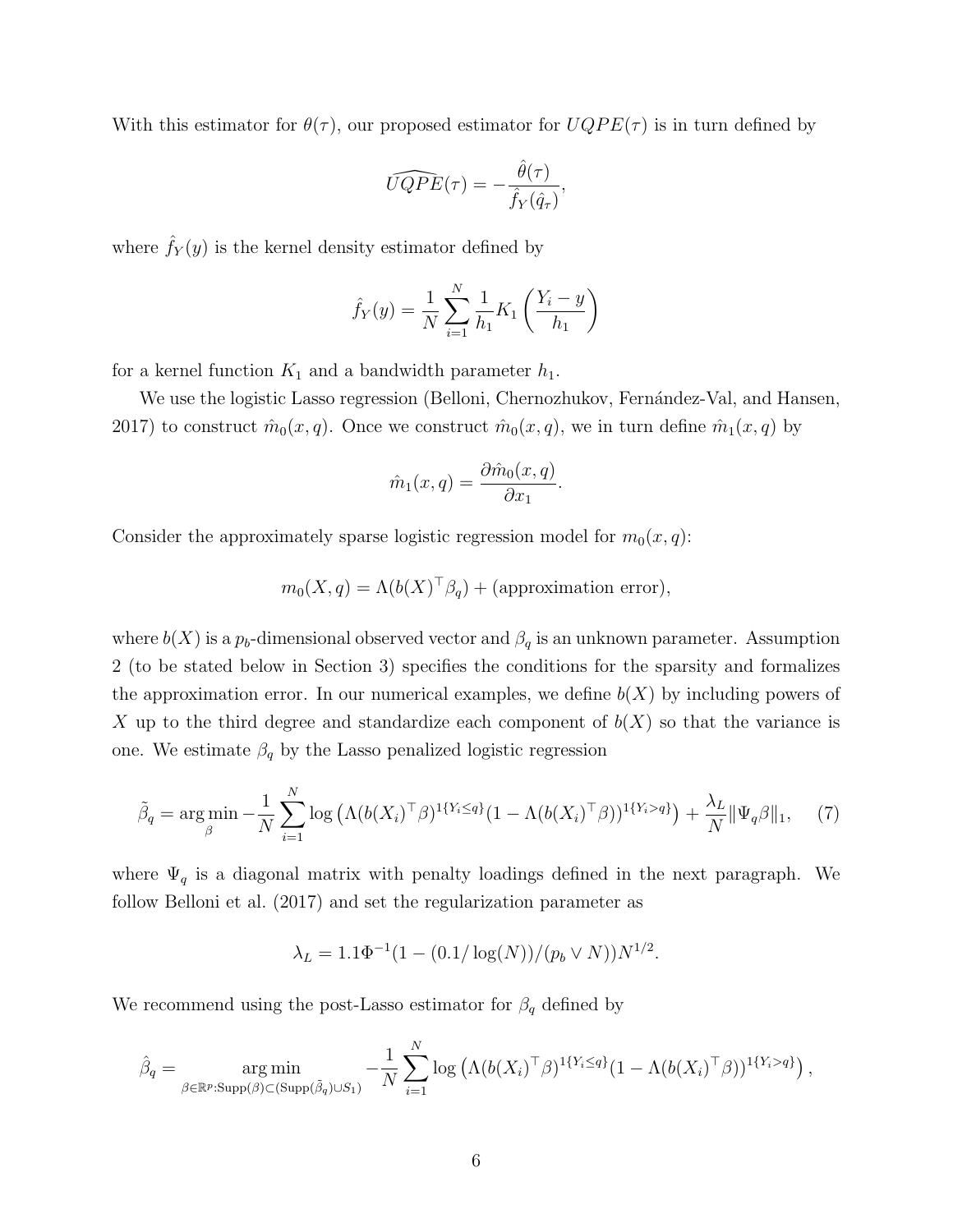With this estimator for  $\theta(\tau)$ , our proposed estimator for  $UQPE(\tau)$  is in turn defined by

$$
\widehat{UQPE}(\tau) = -\frac{\hat{\theta}(\tau)}{\hat{f}_Y(\hat{q}_\tau)},
$$

where  $\hat{f}_Y(y)$  is the kernel density estimator defined by

$$
\hat{f}_Y(y) = \frac{1}{N} \sum_{i=1}^N \frac{1}{h_1} K_1 \left( \frac{Y_i - y}{h_1} \right)
$$

for a kernel function  $K_1$  and a bandwidth parameter  $h_1$ .

We use the logistic Lasso regression (Belloni, Chernozhukov, Fernández-Val, and Hansen, [2017\)](#page-20-5) to construct  $\hat{m}_0(x,q)$ . Once we construct  $\hat{m}_0(x,q)$ , we in turn define  $\hat{m}_1(x,q)$  by

$$
\hat{m}_1(x,q) = \frac{\partial \hat{m}_0(x,q)}{\partial x_1}.
$$

Consider the approximately sparse logistic regression model for  $m_0(x, q)$ :

$$
m_0(X, q) = \Lambda(b(X)^{\top} \beta_q) + \text{(approximation error)},
$$

where  $b(X)$  is a  $p_b$ -dimensional observed vector and  $\beta_q$  is an unknown parameter. Assumption [2](#page-10-0) (to be stated below in Section [3\)](#page-9-0) specifies the conditions for the sparsity and formalizes the approximation error. In our numerical examples, we define  $b(X)$  by including powers of X up to the third degree and standardize each component of  $b(X)$  so that the variance is one. We estimate  $\beta_q$  by the Lasso penalized logistic regression

<span id="page-5-0"></span>
$$
\tilde{\beta}_q = \arg\min_{\beta} -\frac{1}{N} \sum_{i=1}^N \log \left( \Lambda (b(X_i)^{\top} \beta)^{1\{Y_i \le q\}} (1 - \Lambda (b(X_i)^{\top} \beta))^{1\{Y_i > q\}} \right) + \frac{\lambda_L}{N} ||\Psi_q \beta||_1, \tag{7}
$$

where  $\Psi_q$  is a diagonal matrix with penalty loadings defined in the next paragraph. We follow [Belloni et al.](#page-20-5) [\(2017\)](#page-20-5) and set the regularization parameter as

$$
\lambda_L = 1.1\Phi^{-1}(1 - (0.1/\log(N))/(p_b \vee N))N^{1/2}.
$$

We recommend using the post-Lasso estimator for  $\beta_q$  defined by

$$
\hat{\beta}_q = \underset{\beta \in \mathbb{R}^p : \text{Supp}(\beta) \subset (\text{Supp}(\tilde{\beta}_q) \cup S_1)}{\arg \min} -\frac{1}{N} \sum_{i=1}^N \log \left( \Lambda (b(X_i)^{\top} \beta)^{1\{Y_i \leq q\}} (1 - \Lambda (b(X_i)^{\top} \beta))^{1\{Y_i > q\}} \right),
$$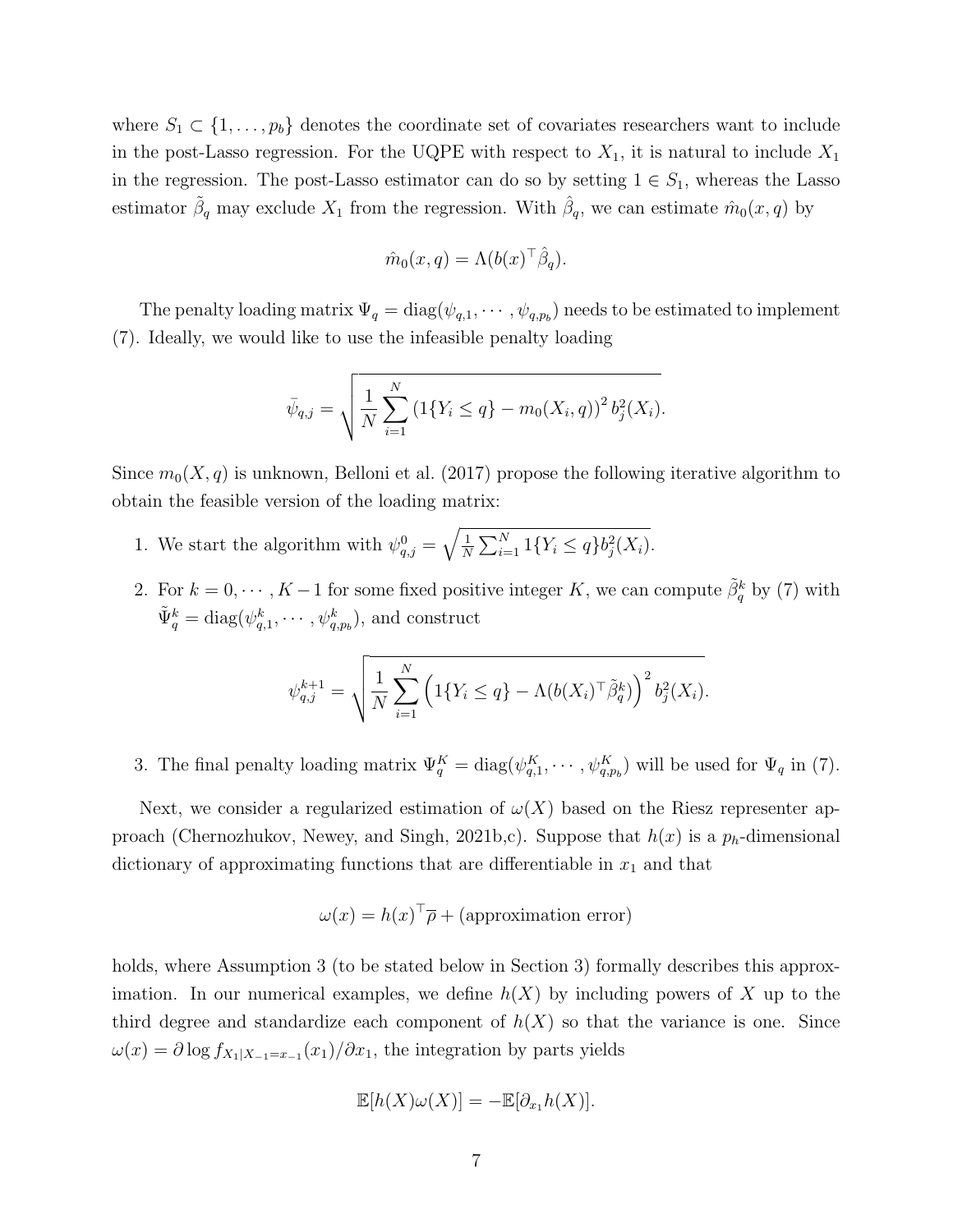where  $S_1 \subset \{1, \ldots, p_b\}$  denotes the coordinate set of covariates researchers want to include in the post-Lasso regression. For the UQPE with respect to  $X_1$ , it is natural to include  $X_1$ in the regression. The post-Lasso estimator can do so by setting  $1 \in S_1$ , whereas the Lasso estimator  $\tilde{\beta}_q$  may exclude  $X_1$  from the regression. With  $\hat{\beta}_q$ , we can estimate  $\hat{m}_0(x,q)$  by

$$
\hat{m}_0(x,q) = \Lambda(b(x)^\top \hat{\beta}_q).
$$

The penalty loading matrix  $\Psi_q = \text{diag}(\psi_{q,1}, \cdots, \psi_{q,p_b})$  needs to be estimated to implement [\(7\)](#page-5-0). Ideally, we would like to use the infeasible penalty loading

$$
\bar{\psi}_{q,j} = \sqrt{\frac{1}{N} \sum_{i=1}^{N} \left( 1\{Y_i \le q\} - m_0(X_i, q) \right)^2 b_j^2(X_i)}.
$$

Since  $m_0(X, q)$  is unknown, [Belloni et al.](#page-20-5) [\(2017\)](#page-20-5) propose the following iterative algorithm to obtain the feasible version of the loading matrix:

- 1. We start the algorithm with  $\psi_{q,j}^0 = \sqrt{\frac{1}{N}}$  $\frac{1}{N} \sum_{i=1}^{N} 1\{Y_i \leq q\} b_j^2(X_i).$
- 2. For  $k = 0, \dots, K-1$  for some fixed positive integer K, we can compute  $\tilde{\beta}_q^k$  by [\(7\)](#page-5-0) with  $\tilde{\Psi}_q^k = \text{diag}(\psi_{q,1}^k, \cdots, \psi_{q,p_b}^k)$ , and construct

$$
\psi_{q,j}^{k+1} = \sqrt{\frac{1}{N} \sum_{i=1}^{N} \left( 1\{Y_i \leq q\} - \Lambda(b(X_i)^{\top} \tilde{\beta}_q^k) \right)^2 b_j^2(X_i)}.
$$

3. The final penalty loading matrix  $\Psi_q^K = \text{diag}(\psi_{q,1}^K, \cdots, \psi_{q,p_b}^K)$  will be used for  $\Psi_q$  in [\(7\)](#page-5-0).

Next, we consider a regularized estimation of  $\omega(X)$  based on the Riesz representer ap-proach [\(Chernozhukov, Newey, and Singh, 2021b,](#page-21-4)[c\)](#page-21-5). Suppose that  $h(x)$  is a  $p_h$ -dimensional dictionary of approximating functions that are differentiable in  $x_1$  and that

$$
\omega(x) = h(x)^{\top} \overline{\rho} + \text{(approximation error)}
$$

holds, where Assumption [3](#page-11-0) (to be stated below in Section [3\)](#page-9-0) formally describes this approximation. In our numerical examples, we define  $h(X)$  by including powers of X up to the third degree and standardize each component of  $h(X)$  so that the variance is one. Since  $\omega(x) = \partial \log f_{X_1|X_{-1} = x_{-1}}(x_1)/\partial x_1$ , the integration by parts yields

$$
\mathbb{E}[h(X)\omega(X)] = -\mathbb{E}[\partial_{x_1}h(X)].
$$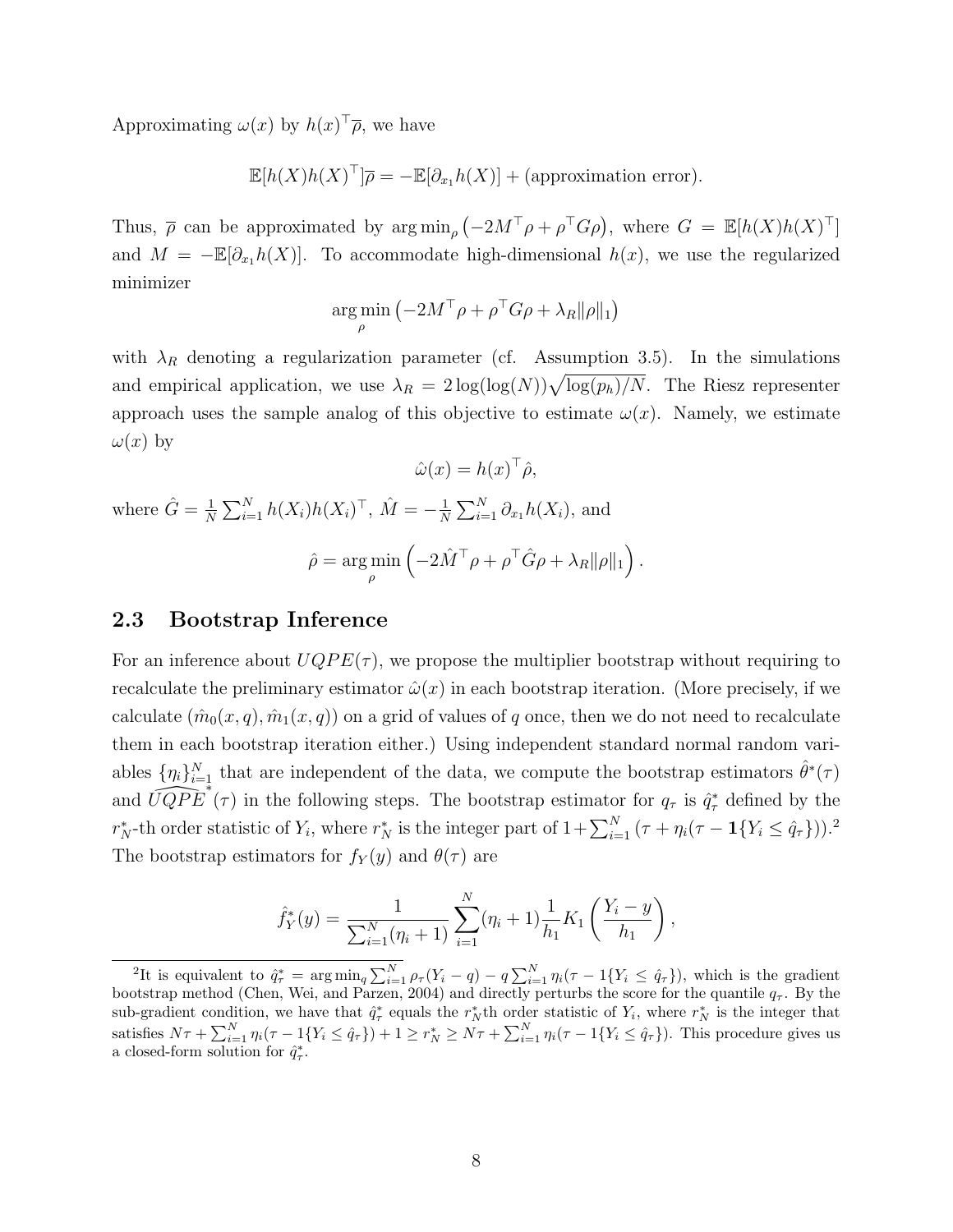Approximating  $\omega(x)$  by  $h(x)^\top \overline{\rho}$ , we have

$$
\mathbb{E}[h(X)h(X)^{\top}]\overline{\rho} = -\mathbb{E}[\partial_{x_1}h(X)] + \text{(approximation error)}.
$$

Thus,  $\bar{\rho}$  can be approximated by  $\arg \min_{\rho}(-2M^{\top}\rho + \rho^{\top}G\rho)$ , where  $G = \mathbb{E}[h(X)h(X)^{\top}]$ and  $M = -\mathbb{E}[\partial_{x_1}h(X)]$ . To accommodate high-dimensional  $h(x)$ , we use the regularized minimizer

$$
\argmin_{\rho} \left( -2M^\top \rho + \rho^\top G \rho + \lambda_R ||\rho||_1 \right)
$$

with  $\lambda_R$  denoting a regularization parameter (cf. Assumption [3.](#page-11-0)5). In the simulations and empirical application, we use  $\lambda_R = 2 \log(\log(N)) \sqrt{\log(p_h)/N}$ . The Riesz representer approach uses the sample analog of this objective to estimate  $\omega(x)$ . Namely, we estimate  $\omega(x)$  by

$$
\hat{\omega}(x) = h(x)^{\top} \hat{\rho},
$$
  
where  $\hat{G} = \frac{1}{N} \sum_{i=1}^{N} h(X_i) h(X_i)^{\top}, \ \hat{M} = -\frac{1}{N} \sum_{i=1}^{N} \partial_{x_1} h(X_i),$  and  

$$
\hat{\rho} = \arg \min_{\rho} \left( -2\hat{M}^{\top} \rho + \rho^{\top} \hat{G} \rho + \lambda_R ||\rho||_1 \right).
$$

### <span id="page-7-0"></span>2.3 Bootstrap Inference

For an inference about  $UQPE(\tau)$ , we propose the multiplier bootstrap without requiring to recalculate the preliminary estimator  $\hat{\omega}(x)$  in each bootstrap iteration. (More precisely, if we calculate  $(\hat{m}_0(x,q), \hat{m}_1(x,q))$  on a grid of values of q once, then we do not need to recalculate them in each bootstrap iteration either.) Using independent standard normal random variables  $\{\eta_i\}_{i=1}^N$  that are independent of the data, we compute the bootstrap estimators  $\hat{\theta}^*(\tau)$ and  $\widehat{UQPE}^*$  ( $\tau$ ) in the following steps. The bootstrap estimator for  $q_{\tau}$  is  $\hat{q}_{\tau}^*$  defined by the  $r_N^*$ -th order statistic of  $Y_i$ , where  $r_N^*$  is the integer part of  $1+\sum_{i=1}^N(\tau+\eta_i(\tau-{\bf 1}\{Y_i\leq \hat q_{\tau}\}))$ . The bootstrap estimators for  $f_Y(y)$  and  $\theta(\tau)$  are

$$
\hat{f}_Y^*(y) = \frac{1}{\sum_{i=1}^N (\eta_i + 1)} \sum_{i=1}^N (\eta_i + 1) \frac{1}{h_1} K_1 \left( \frac{Y_i - y}{h_1} \right),
$$

<span id="page-7-1"></span><sup>&</sup>lt;sup>2</sup>It is equivalent to  $\hat{q}_{\tau}^* = \arg \min_{q} \sum_{i=1}^{N} \rho_{\tau}(Y_i - q) - q \sum_{i=1}^{N} \eta_i(\tau - 1\{Y_i \leq \hat{q}_{\tau}\})$ , which is the gradient bootstrap method [\(Chen, Wei, and Parzen, 2004\)](#page-20-6) and directly perturbs the score for the quantile  $q_{\tau}$ . By the sub-gradient condition, we have that  $\hat{q}^*_{\tau}$  equals the  $r_N^*$  th order statistic of  $Y_i$ , where  $r_N^*$  is the integer that satisfies  $N\tau + \sum_{i=1}^{N} \eta_i(\tau - 1\{Y_i \leq \hat{q}_\tau\}) + 1 \geq r_N^* \geq N\tau + \sum_{i=1}^{N} \eta_i(\tau - 1\{Y_i \leq \hat{q}_\tau\})$ . This procedure gives us a closed-form solution for  $\hat{q}^*_{\tau}$ .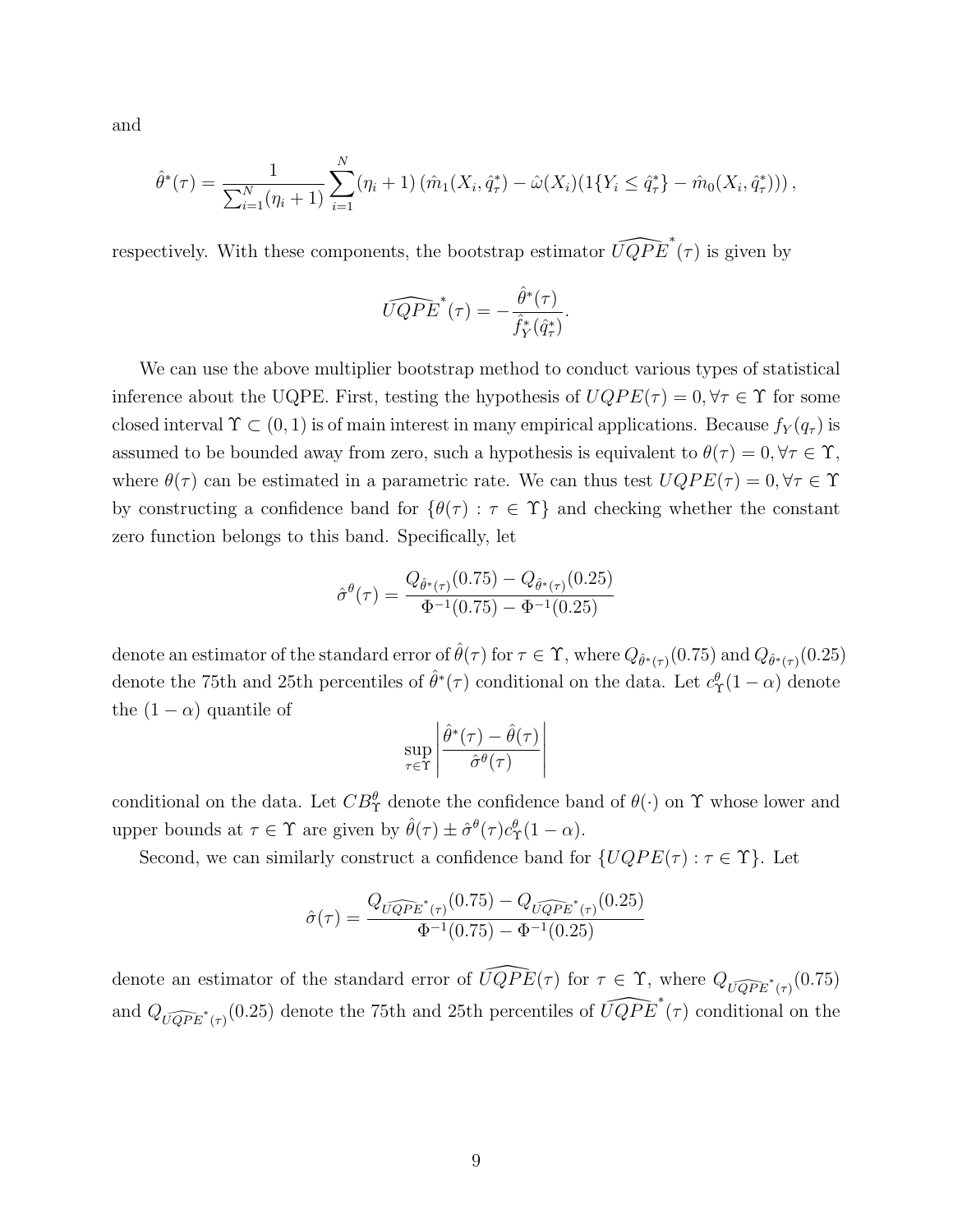and

$$
\hat{\theta}^*(\tau) = \frac{1}{\sum_{i=1}^N (\eta_i + 1)} \sum_{i=1}^N (\eta_i + 1) (\hat{m}_1(X_i, \hat{q}^*_\tau) - \hat{\omega}(X_i) (1\{Y_i \leq \hat{q}^*_\tau\} - \hat{m}_0(X_i, \hat{q}^*_\tau)))
$$

respectively. With these components, the bootstrap estimator  $\widehat{UQPE}^*(\tau)$  is given by

$$
\widehat{UQPE}^*(\tau) = -\frac{\hat{\theta}^*(\tau)}{\hat{f}_Y^*(\hat{q}_\tau^*)}.
$$

We can use the above multiplier bootstrap method to conduct various types of statistical inference about the UQPE. First, testing the hypothesis of  $UQPE(\tau) = 0, \forall \tau \in \Upsilon$  for some closed interval  $\Upsilon \subset (0,1)$  is of main interest in many empirical applications. Because  $f_Y(q_\tau)$  is assumed to be bounded away from zero, such a hypothesis is equivalent to  $\theta(\tau) = 0, \forall \tau \in \Upsilon$ , where  $\theta(\tau)$  can be estimated in a parametric rate. We can thus test  $UQPE(\tau) = 0, \forall \tau \in \Upsilon$ by constructing a confidence band for  $\{\theta(\tau): \tau \in \Upsilon\}$  and checking whether the constant zero function belongs to this band. Specifically, let

$$
\hat{\sigma}^{\theta}(\tau) = \frac{Q_{\hat{\theta}^*(\tau)}(0.75) - Q_{\hat{\theta}^*(\tau)}(0.25)}{\Phi^{-1}(0.75) - \Phi^{-1}(0.25)}
$$

denote an estimator of the standard error of  $\hat{\theta}(\tau)$  for  $\tau \in \Upsilon$ , where  $Q_{\hat{\theta}^*(\tau)}(0.75)$  and  $Q_{\hat{\theta}^*(\tau)}(0.25)$ denote the 75th and 25th percentiles of  $\hat{\theta}^*(\tau)$  conditional on the data. Let  $c^{\theta}_{\Upsilon}(1-\alpha)$  denote the  $(1 - \alpha)$  quantile of

$$
\sup_{\tau \in \Upsilon} \left| \frac{\hat{\theta}^*(\tau) - \hat{\theta}(\tau)}{\hat{\sigma}^{\theta}(\tau)} \right|
$$

conditional on the data. Let  $CB^{\theta}_{\Upsilon}$  denote the confidence band of  $\theta(\cdot)$  on  $\Upsilon$  whose lower and upper bounds at  $\tau \in \Upsilon$  are given by  $\hat{\theta}(\tau) \pm \hat{\sigma}^{\theta}(\tau) c^{\theta}_{\Upsilon} (1 - \alpha)$ .

Second, we can similarly construct a confidence band for  $\{UQPE(\tau) : \tau \in \Upsilon\}$ . Let

$$
\hat{\sigma}(\tau) = \frac{Q_{\widehat{UQPE}^*(\tau)}(0.75) - Q_{\widehat{UQPE}^*(\tau)}(0.25)}{\Phi^{-1}(0.75) - \Phi^{-1}(0.25)}
$$

denote an estimator of the standard error of  $\widehat{UQPE}(\tau)$  for  $\tau \in \Upsilon$ , where  $Q_{\widehat{UQPE}^*(\tau)}(0.75)$ and  $Q_{\widehat{UQPE}^*(\tau)}(0.25)$  denote the 75th and 25th percentiles of  $\widehat{UQPE}^*(\tau)$  conditional on the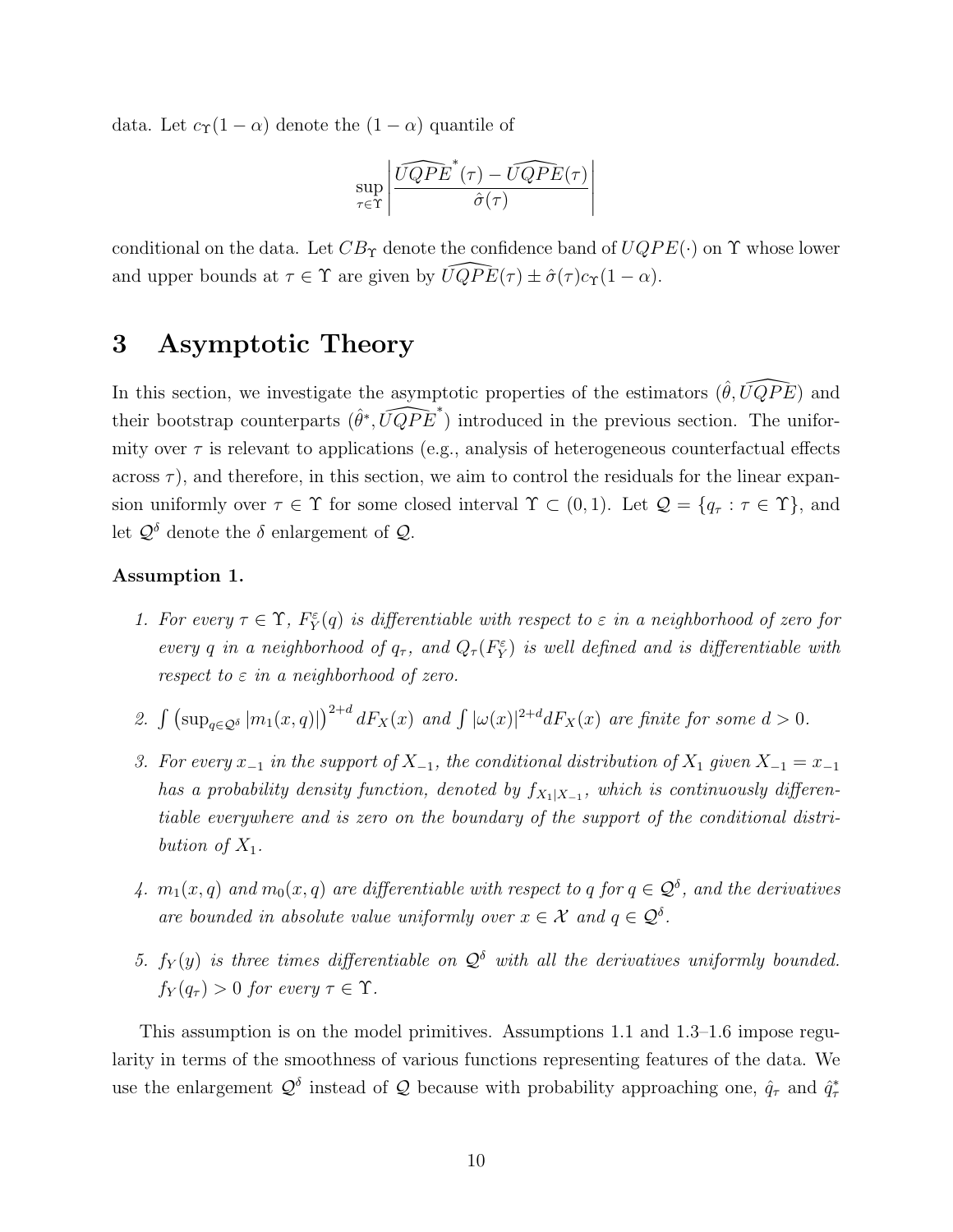data. Let  $c_{\Upsilon}(1-\alpha)$  denote the  $(1-\alpha)$  quantile of

$$
\sup_{\tau \in \Upsilon} \left| \frac{\widehat{UQPE}^*(\tau) - \widehat{UQPE}(\tau)}{\widehat{\sigma}(\tau)} \right|
$$

conditional on the data. Let  $CB_{\Upsilon}$  denote the confidence band of  $UQPE(\cdot)$  on  $\Upsilon$  whose lower and upper bounds at  $\tau \in \Upsilon$  are given by  $\widehat{UQPE}(\tau) \pm \hat{\sigma}(\tau) c_{\Upsilon}(1 - \alpha)$ .

## <span id="page-9-0"></span>3 Asymptotic Theory

In this section, we investigate the asymptotic properties of the estimators  $(\hat{\theta}, \widehat{UQPE})$  and their bootstrap counterparts  $(\hat{\theta}^*, \widehat{UQPE}^*)$  introduced in the previous section. The uniformity over  $\tau$  is relevant to applications (e.g., analysis of heterogeneous counterfactual effects across  $\tau$ ), and therefore, in this section, we aim to control the residuals for the linear expansion uniformly over  $\tau \in \Upsilon$  for some closed interval  $\Upsilon \subset (0,1)$ . Let  $\mathcal{Q} = \{q_\tau : \tau \in \Upsilon\}$ , and let  $\mathcal{Q}^{\delta}$  denote the  $\delta$  enlargement of  $\mathcal{Q}$ .

#### Assumption 1.

- 1. For every  $\tau \in \Upsilon$ ,  $F_Y^{\varepsilon}(q)$  is differentiable with respect to  $\varepsilon$  in a neighborhood of zero for every q in a neighborhood of  $q_{\tau}$ , and  $Q_{\tau}(F_Y^{\varepsilon})$  is well defined and is differentiable with respect to  $\varepsilon$  in a neighborhood of zero.
- 2.  $\int \left(\sup_{q \in \mathcal{Q}^\delta} |m_1(x,q)|\right)^{2+d} dF_X(x)$  and  $\int |\omega(x)|^{2+d} dF_X(x)$  are finite for some  $d > 0$ .
- 3. For every  $x_{-1}$  in the support of  $X_{-1}$ , the conditional distribution of  $X_1$  given  $X_{-1} = x_{-1}$ has a probability density function, denoted by  $f_{X_1|X_{-1}}$ , which is continuously differentiable everywhere and is zero on the boundary of the support of the conditional distribution of  $X_1$ .
- 4.  $m_1(x,q)$  and  $m_0(x,q)$  are differentiable with respect to q for  $q \in \mathcal{Q}^{\delta}$ , and the derivatives are bounded in absolute value uniformly over  $x \in \mathcal{X}$  and  $q \in \mathcal{Q}^{\delta}$ .
- <span id="page-9-1"></span>5.  $f_Y(y)$  is three times differentiable on  $\mathcal{Q}^{\delta}$  with all the derivatives uniformly bounded.  $f_Y(q_\tau) > 0$  for every  $\tau \in \Upsilon$ .

This assumption is on the model primitives. Assumptions [1.](#page-9-1)1 and [1.](#page-9-1)3[–1.](#page-9-1)6 impose regularity in terms of the smoothness of various functions representing features of the data. We use the enlargement  $\mathcal{Q}^{\delta}$  instead of  $\mathcal Q$  because with probability approaching one,  $\hat{q}_{\tau}$  and  $\hat{q}_{\tau}^*$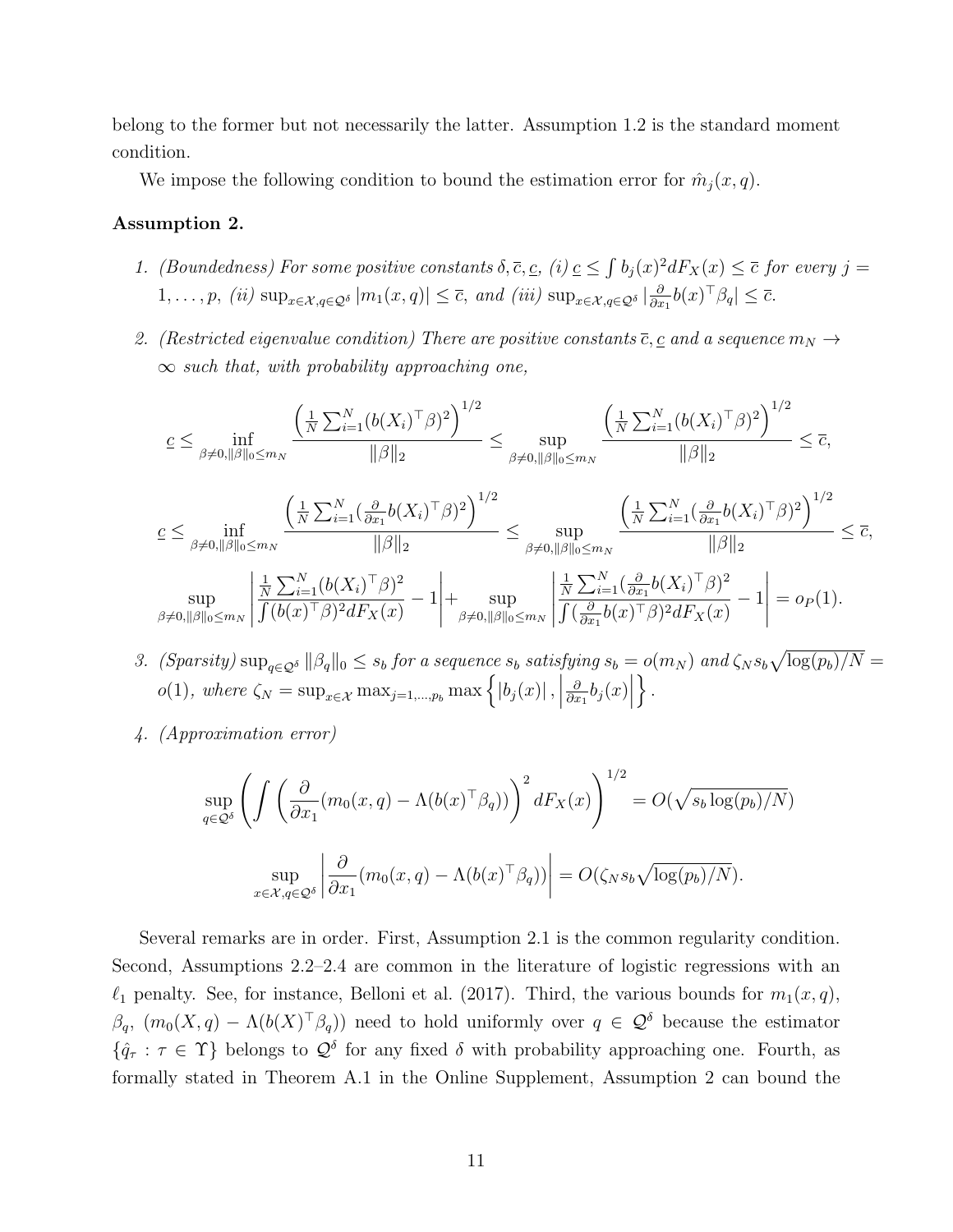belong to the former but not necessarily the latter. Assumption [1.](#page-9-1)2 is the standard moment condition.

We impose the following condition to bound the estimation error for  $\hat{m}_j(x, q)$ .

#### Assumption 2.

- 1. (Boundedness) For some positive constants  $\delta, \overline{c}, \underline{c}, i \in \mathbb{R}$  b<sub>j</sub> $(x)^2 dF_X(x) \leq \overline{c}$  for every  $j =$  $1,\ldots,p, (ii) \sup_{x\in\mathcal{X},q\in\mathcal{Q}^\delta}|m_1(x,q)|\leq\overline{c}, and (iii) \sup_{x\in\mathcal{X},q\in\mathcal{Q}^\delta}|_{\partial x}$  $\frac{\partial}{\partial x_1} b(x)^\top \beta_q \leq \overline{c}.$
- 2. (Restricted eigenvalue condition) There are positive constants  $\overline{c}, \underline{c}$  and a sequence  $m_N \rightarrow$  $\infty$  such that, with probability approaching one,

$$
\begin{split}\n&\varepsilon \leq \inf_{\beta \neq 0, \|\beta\|_{0} \leq m_{N}} \frac{\left(\frac{1}{N} \sum_{i=1}^{N} (b(X_{i})^{\top} \beta)^{2}\right)^{1/2}}{\|\beta\|_{2}} \leq \sup_{\beta \neq 0, \|\beta\|_{0} \leq m_{N}} \frac{\left(\frac{1}{N} \sum_{i=1}^{N} (b(X_{i})^{\top} \beta)^{2}\right)^{1/2}}{\|\beta\|_{2}} \leq \overline{c}, \\
&\varepsilon \leq \inf_{\beta \neq 0, \|\beta\|_{0} \leq m_{N}} \frac{\left(\frac{1}{N} \sum_{i=1}^{N} (\frac{\partial}{\partial x_{1}} b(X_{i})^{\top} \beta)^{2}\right)^{1/2}}{\|\beta\|_{2}} \leq \sup_{\beta \neq 0, \|\beta\|_{0} \leq m_{N}} \frac{\left(\frac{1}{N} \sum_{i=1}^{N} (\frac{\partial}{\partial x_{1}} b(X_{i})^{\top} \beta)^{2}\right)^{1/2}}{\|\beta\|_{2}} \leq \overline{c}, \\
&\sup_{\beta \neq 0, \|\beta\|_{0} \leq m_{N}} \left|\frac{\frac{1}{N} \sum_{i=1}^{N} (b(X_{i})^{\top} \beta)^{2}}{\int (b(x)^{\top} \beta)^{2} dF_{X}(x)} - 1\right| + \sup_{\beta \neq 0, \|\beta\|_{0} \leq m_{N}} \left|\frac{\frac{1}{N} \sum_{i=1}^{N} (\frac{\partial}{\partial x_{1}} b(X_{i})^{\top} \beta)^{2}}{\int (\frac{\partial}{\partial x_{1}} b(x)^{\top} \beta)^{2} dF_{X}(x)} - 1\right| = o_{P}(1).\n\end{split}
$$

- 3. (Sparsity)  $\sup_{q\in\mathcal{Q}^\delta} ||\beta_q||_0 \leq s_b$  for a sequence  $s_b$  satisfying  $s_b = o(m_N)$  and  $\zeta_N s_b \sqrt{\log(p_b)/N} =$  $o(1)$ , where  $\zeta_N = \sup_{x \in \mathcal{X}} \max_{j=1,\dots,p_b} \max \left\{ |b_j(x)|, \right\}$ ∂  $\frac{\partial}{\partial x_1} b_j(x)$  $\}$ .
- <span id="page-10-0"></span>4. (Approximation error)

$$
\sup_{q \in \mathcal{Q}^\delta} \left( \int \left( \frac{\partial}{\partial x_1} (m_0(x, q) - \Lambda(b(x)^\top \beta_q)) \right)^2 dF_X(x) \right)^{1/2} = O(\sqrt{s_b \log(p_b)/N})
$$

$$
\sup_{x \in \mathcal{X}, q \in \mathcal{Q}^\delta} \left| \frac{\partial}{\partial x_1} (m_0(x, q) - \Lambda(b(x)^\top \beta_q)) \right| = O(\zeta_N s_b \sqrt{\log(p_b)/N}).
$$

Several remarks are in order. First, Assumption [2.](#page-10-0)1 is the common regularity condition. Second, Assumptions [2.](#page-10-0)2[–2.](#page-10-0)4 are common in the literature of logistic regressions with an  $\ell_1$  penalty. See, for instance, [Belloni et al.](#page-20-5) [\(2017\)](#page-20-5). Third, the various bounds for  $m_1(x, q)$ ,  $\beta_q$ ,  $(m_0(X,q) - \Lambda(b(X)^{\top}\beta_q))$  need to hold uniformly over  $q \in \mathcal{Q}^{\delta}$  because the estimator  $\{\hat{q}_{\tau} : \tau \in \Upsilon\}$  belongs to  $\mathcal{Q}^{\delta}$  for any fixed  $\delta$  with probability approaching one. Fourth, as formally stated in Theorem [A.1](#page-0-0) in the Online Supplement, Assumption [2](#page-10-0) can bound the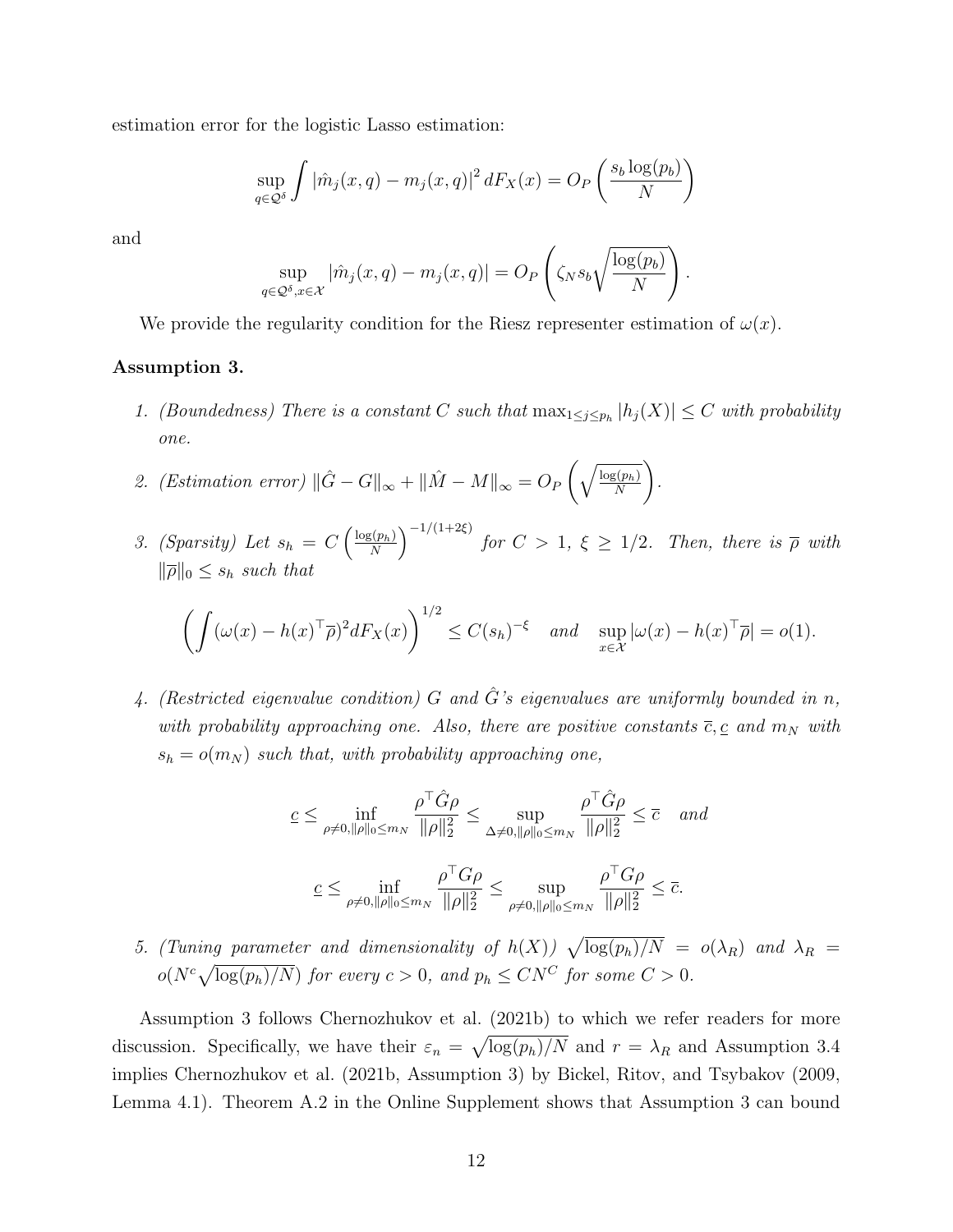estimation error for the logistic Lasso estimation:

$$
\sup_{q \in \mathcal{Q}^\delta} \int |\hat{m}_j(x, q) - m_j(x, q)|^2 dF_X(x) = O_P\left(\frac{s_b \log(p_b)}{N}\right)
$$

and

$$
\sup_{q \in \mathcal{Q}^\delta, x \in \mathcal{X}} |\hat{m}_j(x, q) - m_j(x, q)| = O_P\left(\zeta_N s_b \sqrt{\frac{\log(p_b)}{N}}\right).
$$

We provide the regularity condition for the Riesz representer estimation of  $\omega(x)$ .

#### Assumption 3.

- 1. (Boundedness) There is a constant C such that  $\max_{1 \leq j \leq p_h} |h_j(X)| \leq C$  with probability one.
- 2. (Estimation error)  $\|\hat{G} G\|_{\infty} + \|\hat{M} M\|_{\infty} = O_P\left(\sqrt{\frac{\log(p_h)}{N}}\right)$ N ). .
- 3. (Sparsity) Let  $s_h = C\left(\frac{\log(p_h)}{N}\right)$  $\left(\frac{\zeta(p_h)}{N}\right)^{-1/(1+2\xi)}$  for  $C>1, \; \xi \geq 1/2.$  Then, there is  $\overline{\rho}$  with  $\|\overline{\rho}\|_0 \leq s_h$  such that

$$
\left(\int (\omega(x) - h(x)^{\top} \overline{\rho})^2 dF_X(x)\right)^{1/2} \le C(s_h)^{-\xi} \quad \text{and} \quad \sup_{x \in \mathcal{X}} |\omega(x) - h(x)^{\top} \overline{\rho}| = o(1).
$$

4. (Restricted eigenvalue condition) G and  $\hat{G}$ 's eigenvalues are uniformly bounded in n, with probability approaching one. Also, there are positive constants  $\overline{c}, \underline{c}$  and  $m_N$  with  $s_h = o(m_N)$  such that, with probability approaching one,

$$
\underline{c} \leq \inf_{\rho \neq 0, ||\rho||_0 \leq m_N} \frac{\rho^{\top} \hat{G} \rho}{||\rho||_2^2} \leq \sup_{\Delta \neq 0, ||\rho||_0 \leq m_N} \frac{\rho^{\top} \hat{G} \rho}{||\rho||_2^2} \leq \overline{c} \quad and
$$
  

$$
\underline{c} \leq \inf_{\rho \neq 0, ||\rho||_0 \leq m_N} \frac{\rho^{\top} G \rho}{||\rho||_2^2} \leq \sup_{\rho \neq 0, ||\rho||_0 \leq m_N} \frac{\rho^{\top} G \rho}{||\rho||_2^2} \leq \overline{c}.
$$

<span id="page-11-0"></span>5. (Tuning parameter and dimensionality of  $h(X)$ )  $\sqrt{\log(p_h)/N} = o(\lambda_R)$  and  $\lambda_R =$  $o(N^c\sqrt{\log(p_h)/N})$  for every  $c > 0$ , and  $p_h \leq C N^C$  for some  $C > 0$ .

Assumption [3](#page-11-0) follows [Chernozhukov et al.](#page-21-4) [\(2021b\)](#page-21-4) to which we refer readers for more discussion. Specifically, we have their  $\varepsilon_n = \sqrt{\log(p_h)/N}$  and  $r = \lambda_R$  and Assumption [3.](#page-11-0)4 implies [Chernozhukov et al.](#page-21-4) [\(2021b,](#page-21-4) Assumption 3) by [Bickel, Ritov, and Tsybakov](#page-20-7) [\(2009,](#page-20-7) Lemma 4.1). Theorem [A.2](#page-0-0) in the Online Supplement shows that Assumption [3](#page-11-0) can bound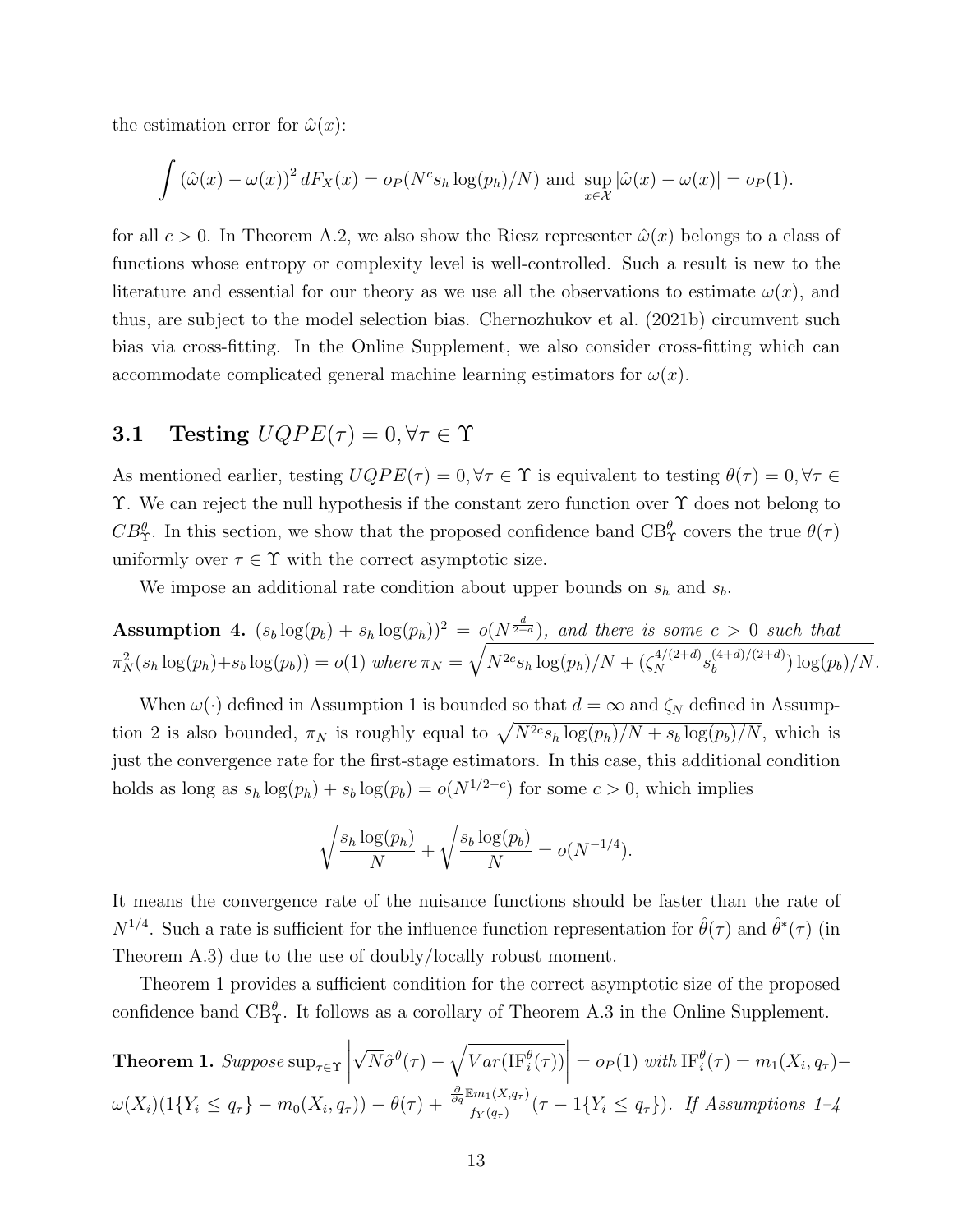the estimation error for  $\hat{\omega}(x)$ :

$$
\int \left(\hat{\omega}(x) - \omega(x)\right)^2 dF_X(x) = o_P(N^c s_h \log(p_h)/N)
$$
 and  $\sup_{x \in \mathcal{X}} |\hat{\omega}(x) - \omega(x)| = o_P(1).$ 

for all  $c > 0$ . In Theorem [A.2,](#page-0-0) we also show the Riesz representer  $\hat{\omega}(x)$  belongs to a class of functions whose entropy or complexity level is well-controlled. Such a result is new to the literature and essential for our theory as we use all the observations to estimate  $\omega(x)$ , and thus, are subject to the model selection bias. [Chernozhukov et al.](#page-21-4) [\(2021b\)](#page-21-4) circumvent such bias via cross-fitting. In the Online Supplement, we also consider cross-fitting which can accommodate complicated general machine learning estimators for  $\omega(x)$ .

### <span id="page-12-2"></span>3.1 Testing  $UQPE(\tau) = 0, \forall \tau \in \Upsilon$

As mentioned earlier, testing  $UQPE(\tau) = 0, \forall \tau \in \Upsilon$  is equivalent to testing  $\theta(\tau) = 0, \forall \tau \in \Upsilon$ Υ. We can reject the null hypothesis if the constant zero function over Υ does not belong to  $CB_T^{\theta}$ . In this section, we show that the proposed confidence band  $CB_T^{\theta}$  covers the true  $\theta(\tau)$ uniformly over  $\tau \in \Upsilon$  with the correct asymptotic size.

We impose an additional rate condition about upper bounds on  $s_h$  and  $s_b$ .

<span id="page-12-1"></span>**Assumption 4.**  $(s_b \log(p_b) + s_h \log(p_h))^2 = o(N^{\frac{d}{2+d}})$ , and there is some  $c > 0$  such that  $\pi_N^2(s_h \log(p_h) + s_b \log(p_b)) = o(1)$  where  $\pi_N = \sqrt{N^{2c} s_h \log(p_h)/N + (\zeta_N^{4/(2+d)} s_b^{(4+d)/(2+d)}}$  $\log_{b}(4+a)/(2+a)$ )  $\log_{b})/N$ .

When  $\omega(\cdot)$  defined in Assumption [1](#page-9-1) is bounded so that  $d = \infty$  and  $\zeta_N$  defined in Assump-tion [2](#page-10-0) is also bounded,  $\pi_N$  is roughly equal to  $\sqrt{N^{2c}s_h \log(p_h)/N} + s_b \log(p_b)/N$ , which is just the convergence rate for the first-stage estimators. In this case, this additional condition holds as long as  $s_h \log(p_h) + s_b \log(p_b) = o(N^{1/2-c})$  for some  $c > 0$ , which implies

$$
\sqrt{\frac{s_h \log(p_h)}{N}} + \sqrt{\frac{s_b \log(p_b)}{N}} = o(N^{-1/4}).
$$

It means the convergence rate of the nuisance functions should be faster than the rate of  $N^{1/4}$ . Such a rate is sufficient for the influence function representation for  $\hat{\theta}(\tau)$  and  $\hat{\theta}^*(\tau)$  (in Theorem [A.3\)](#page-0-0) due to the use of doubly/locally robust moment.

Theorem [1](#page-12-0) provides a sufficient condition for the correct asymptotic size of the proposed confidence band  $CB_T^{\theta}$ . It follows as a corollary of Theorem [A.3](#page-0-0) in the Online Supplement.

<span id="page-12-0"></span>**Theorem 1.** Suppose 
$$
\sup_{\tau \in \Upsilon} \left| \sqrt{N} \hat{\sigma}^{\theta}(\tau) - \sqrt{Var(\text{IF}_{i}^{\theta}(\tau))} \right| = o_P(1)
$$
 with  $\text{IF}_{i}^{\theta}(\tau) = m_1(X_i, q_{\tau}) - \omega(X_i)(1\{Y_i \leq q_{\tau}\} - m_0(X_i, q_{\tau})) - \theta(\tau) + \frac{\frac{\partial}{\partial q} \mathbb{E}m_1(X, q_{\tau})}{f_Y(q_{\tau})}(\tau - 1\{Y_i \leq q_{\tau}\})$ . If Assumptions 1–4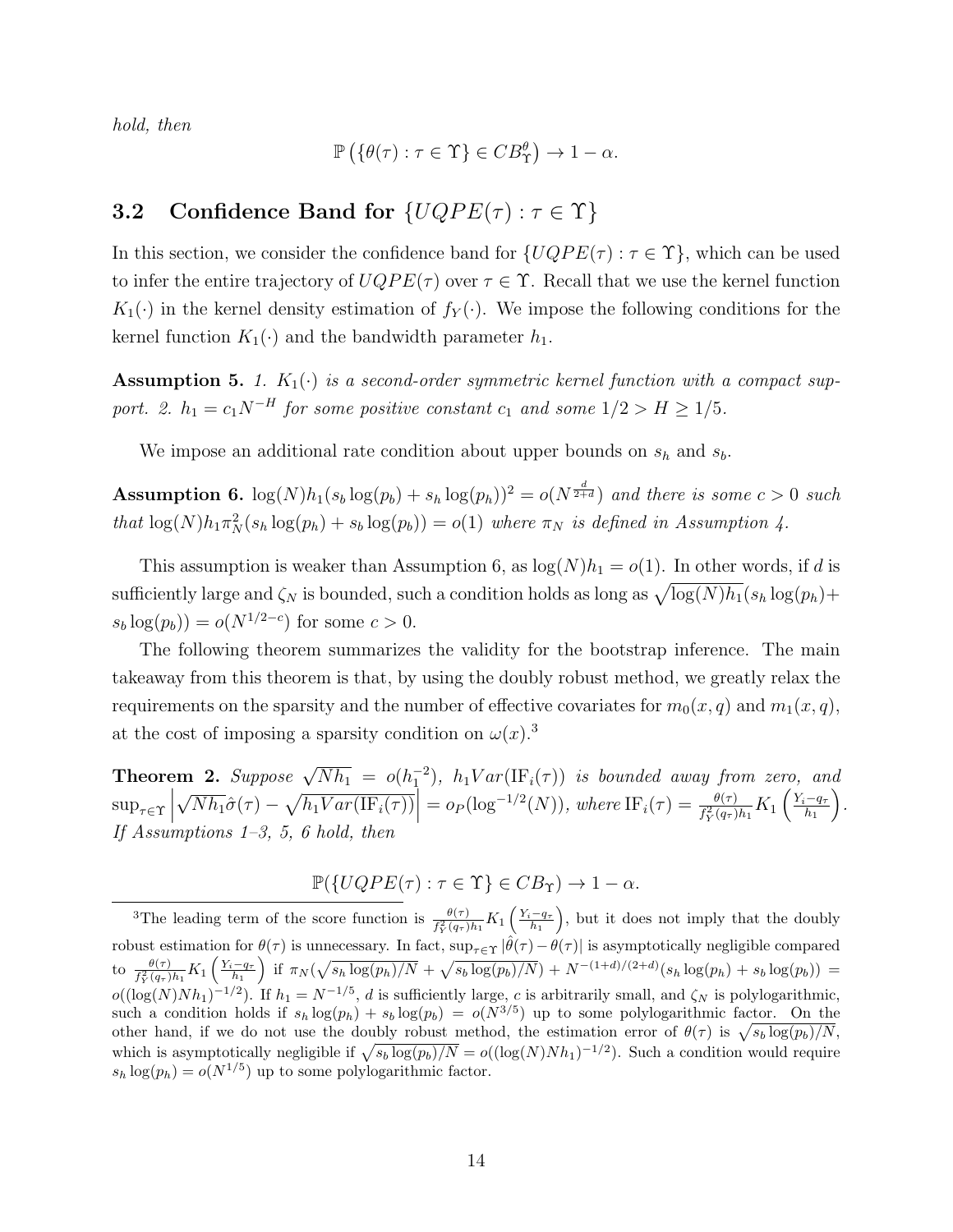hold, then

$$
\mathbb{P}\left(\{\theta(\tau): \tau \in \Upsilon\} \in CB_{\Upsilon}^{\theta}\right) \to 1 - \alpha.
$$

### **3.2** Confidence Band for  $\{UQPE(\tau) : \tau \in \Upsilon\}$

In this section, we consider the confidence band for  $\{UQPE(\tau): \tau \in \Upsilon\}$ , which can be used to infer the entire trajectory of  $UQPE(\tau)$  over  $\tau \in \Upsilon$ . Recall that we use the kernel function  $K_1(\cdot)$  in the kernel density estimation of  $f_Y(\cdot)$ . We impose the following conditions for the kernel function  $K_1(\cdot)$  and the bandwidth parameter  $h_1$ .

<span id="page-13-2"></span>**Assumption 5.** 1.  $K_1(\cdot)$  is a second-order symmetric kernel function with a compact support. 2.  $h_1 = c_1 N^{-H}$  for some positive constant  $c_1$  and some  $1/2 > H \ge 1/5$ .

We impose an additional rate condition about upper bounds on  $s_h$  and  $s_b$ .

<span id="page-13-0"></span>**Assumption 6.**  $\log(N)h_1(s_b\log(p_b) + s_h\log(p_h))^2 = o(N^{\frac{d}{2+d}})$  and there is some  $c > 0$  such that  $\log(N)h_1\pi_N^2(s_h\log(p_h)+s_b\log(p_b))=o(1)$  where  $\pi_N$  is defined in Assumption [4.](#page-12-1)

This assumption is weaker than Assumption [6,](#page-13-0) as  $log(N)h_1 = o(1)$ . In other words, if d is sufficiently large and  $\zeta_N$  is bounded, such a condition holds as long as  $\sqrt{\log(N)h_1}(s_h\log(p_h)+$  $s_b \log(p_b)$  =  $o(N^{1/2-c})$  for some  $c > 0$ .

The following theorem summarizes the validity for the bootstrap inference. The main takeaway from this theorem is that, by using the doubly robust method, we greatly relax the requirements on the sparsity and the number of effective covariates for  $m_0(x, q)$  and  $m_1(x, q)$ , at the cost of imposing a sparsity condition on  $\omega(x)$ .<sup>[3](#page-13-1)</sup>

<span id="page-13-3"></span>**Theorem 2.** Suppose  $\sqrt{Nh_1} = o(h_1^{-2})$ ,  $h_1Var(\text{IF}_i(\tau))$  is bounded away from zero, and  $\sup_{\tau \in \Upsilon}$ √  $\overline{Nh_1}\hat{\sigma}(\tau) - \sqrt{h_1 Var(\text{IF}_i(\tau))}\Big| = o_P(\log^{-1/2}(N)), \text{ where } \text{IF}_i(\tau) = \frac{\theta(\tau)}{f_Y^2(q_\tau)h_1}K_1\left(\frac{Y_i-q_\tau}{h_1}\right)$  $h_1$  . If Assumptions [1](#page-9-1)[–3,](#page-11-0) [5,](#page-13-2) [6](#page-13-0) hold, then

$$
\mathbb{P}(\{UQPE(\tau) : \tau \in \Upsilon\} \in CB_{\Upsilon}) \to 1 - \alpha.
$$

<span id="page-13-1"></span><sup>&</sup>lt;sup>3</sup>The leading term of the score function is  $\frac{\theta(\tau)}{f_Y^2(q_\tau)h_1}K_1\left(\frac{Y_i-q_\tau}{h_1}\right)$ , but it does not imply that the doubly robust estimation for  $\theta(\tau)$  is unnecessary. In fact,  $\sup_{\tau \in \Upsilon} |\hat{\theta}(\tau) - \theta(\tau)|$  is asymptotically negligible compared to  $\frac{\theta(\tau)}{f_Y^2(q_\tau)h_1} K_1\left(\frac{Y_i-q_\tau}{h_1}\right)$  if  $\pi_N(\sqrt{s_h \log(p_h)/N} + \sqrt{s_b \log(p_b)/N}) + N^{-(1+d)/(2+d)}(s_h \log(p_h) + s_b \log(p_b)) =$  $o((\log(N)Nh_1)^{-1/2})$ . If  $h_1 = N^{-1/5}$ , d is sufficiently large, c is arbitrarily small, and  $\zeta_N$  is polylogarithmic, such a condition holds if  $s_h \log(p_h) + s_b \log(p_b) = o(N^{3/5})$  up to some polylogarithmic factor. On the other hand, if we do not use the doubly robust method, the estimation error of  $\theta(\tau)$  is  $\sqrt{s_b \log(p_b)/N}$ , which is asymptotically negligible if  $\sqrt{s_b \log(p_b)/N} = o((\log(N)Nh_1)^{-1/2})$ . Such a condition would require  $s_h \log(p_h) = o(N^{1/5})$  up to some polylogarithmic factor.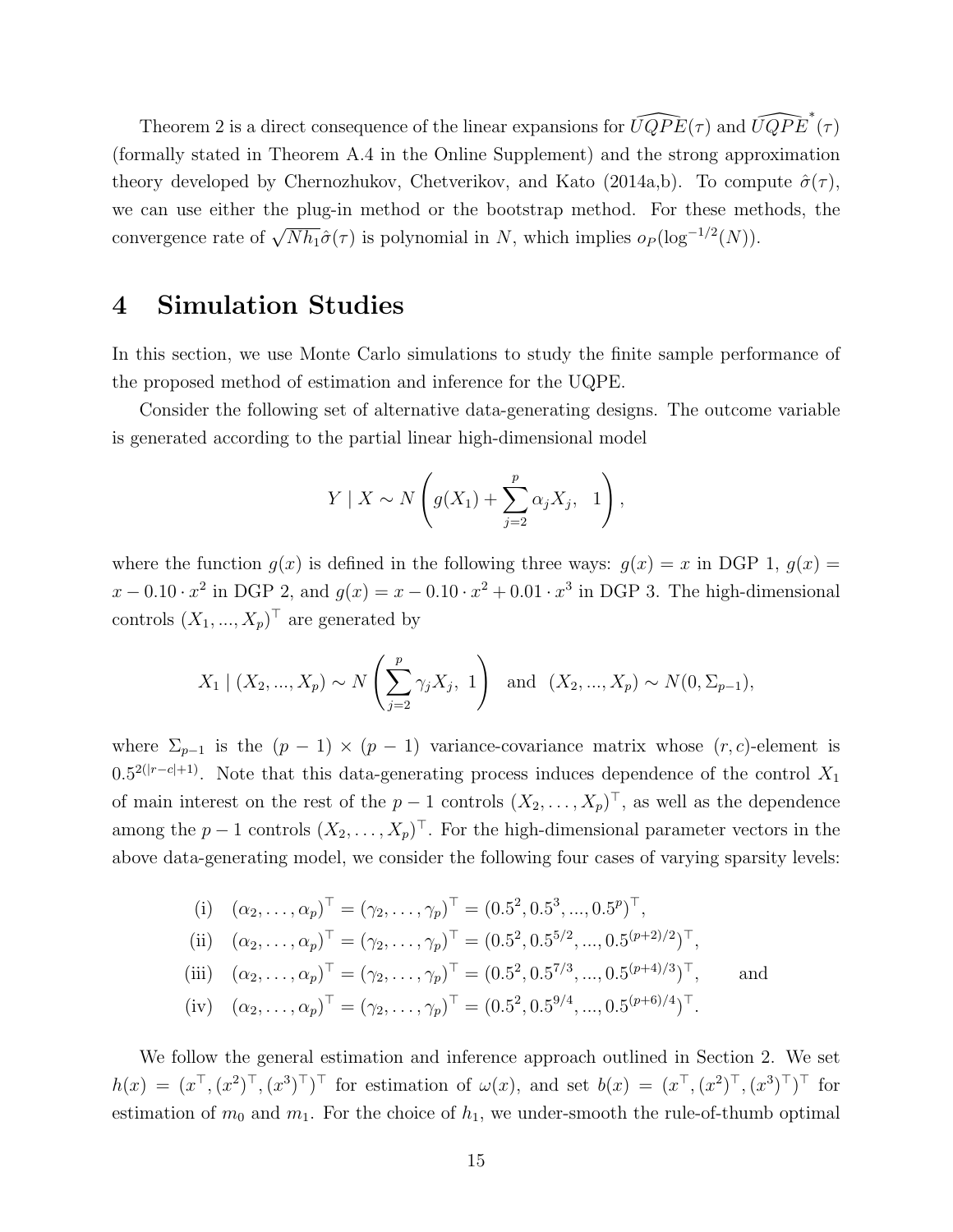Theorem [2](#page-13-3) is a direct consequence of the linear expansions for  $\widehat{UQPE}(\tau)$  and  $\widehat{UQPE}^*(\tau)$ (formally stated in Theorem [A.4](#page-0-0) in the Online Supplement) and the strong approximation theory developed by [Chernozhukov, Chetverikov, and Kato](#page-20-8) [\(2014a](#page-20-8)[,b\)](#page-20-9). To compute  $\hat{\sigma}(\tau)$ , we can use either the plug-in method or the bootstrap method. For these methods, the convergence rate of  $\sqrt{Nh_1}\hat{\sigma}(\tau)$  is polynomial in N, which implies  $o_P(\log^{-1/2}(N))$ .

### <span id="page-14-0"></span>4 Simulation Studies

In this section, we use Monte Carlo simulations to study the finite sample performance of the proposed method of estimation and inference for the UQPE.

Consider the following set of alternative data-generating designs. The outcome variable is generated according to the partial linear high-dimensional model

$$
Y \mid X \sim N\left(g(X_1) + \sum_{j=2}^p \alpha_j X_j, 1\right),
$$

where the function  $g(x)$  is defined in the following three ways:  $g(x) = x$  in DGP 1,  $g(x) = x$  $x - 0.10 \cdot x^2$  in DGP 2, and  $g(x) = x - 0.10 \cdot x^2 + 0.01 \cdot x^3$  in DGP 3. The high-dimensional controls  $(X_1, ..., X_p)^\top$  are generated by

$$
X_1 | (X_2, ..., X_p) \sim N\left(\sum_{j=2}^p \gamma_j X_j, 1\right)
$$
 and  $(X_2, ..., X_p) \sim N(0, \Sigma_{p-1}),$ 

where  $\Sigma_{p-1}$  is the  $(p-1) \times (p-1)$  variance-covariance matrix whose  $(r, c)$ -element is  $0.5^{2(|r-c|+1)}$ . Note that this data-generating process induces dependence of the control  $X_1$ of main interest on the rest of the  $p-1$  controls  $(X_2, \ldots, X_p)^\top$ , as well as the dependence among the  $p-1$  controls  $(X_2, \ldots, X_p)^\top$ . For the high-dimensional parameter vectors in the above data-generating model, we consider the following four cases of varying sparsity levels:

(i) 
$$
(\alpha_2, ..., \alpha_p)^\top = (\gamma_2, ..., \gamma_p)^\top = (0.5^2, 0.5^3, ..., 0.5^p)^\top,
$$
  
\n(ii)  $(\alpha_2, ..., \alpha_p)^\top = (\gamma_2, ..., \gamma_p)^\top = (0.5^2, 0.5^{5/2}, ..., 0.5^{(p+2)/2})^\top,$   
\n(iii)  $(\alpha_2, ..., \alpha_p)^\top = (\gamma_2, ..., \gamma_p)^\top = (0.5^2, 0.5^{7/3}, ..., 0.5^{(p+4)/3})^\top,$  and  
\n(iv)  $(\alpha_2, ..., \alpha_p)^\top = (\gamma_2, ..., \gamma_p)^\top = (0.5^2, 0.5^{9/4}, ..., 0.5^{(p+6)/4})^\top.$ 

We follow the general estimation and inference approach outlined in Section [2.](#page-3-2) We set  $h(x) = (x^{\top}, (x^2)^{\top}, (x^3)^{\top})^{\top}$  for estimation of  $\omega(x)$ , and set  $b(x) = (x^{\top}, (x^2)^{\top}, (x^3)^{\top})^{\top}$  for estimation of  $m_0$  and  $m_1$ . For the choice of  $h_1$ , we under-smooth the rule-of-thumb optimal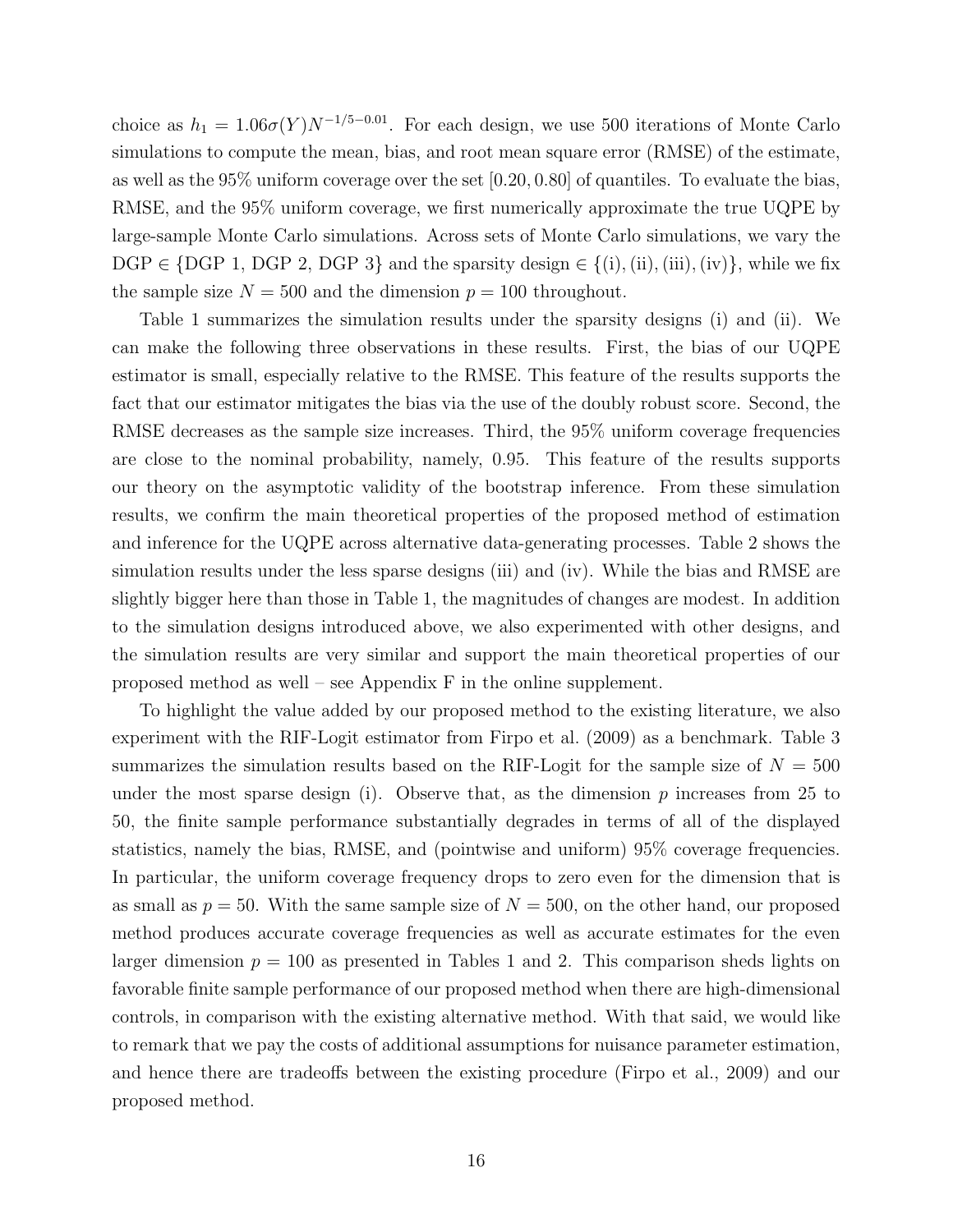choice as  $h_1 = 1.06\sigma(Y)N^{-1/5-0.01}$ . For each design, we use 500 iterations of Monte Carlo simulations to compute the mean, bias, and root mean square error (RMSE) of the estimate, as well as the  $95\%$  uniform coverage over the set  $[0.20, 0.80]$  of quantiles. To evaluate the bias, RMSE, and the 95% uniform coverage, we first numerically approximate the true UQPE by large-sample Monte Carlo simulations. Across sets of Monte Carlo simulations, we vary the  $DGP \in \{DGP, 1, DGP, 2, DGP, 3\}$  and the sparsity design  $\in \{(i), (iii), (iv)\}$ , while we fix the sample size  $N = 500$  and the dimension  $p = 100$  throughout.

Table [1](#page-22-0) summarizes the simulation results under the sparsity designs (i) and (ii). We can make the following three observations in these results. First, the bias of our UQPE estimator is small, especially relative to the RMSE. This feature of the results supports the fact that our estimator mitigates the bias via the use of the doubly robust score. Second, the RMSE decreases as the sample size increases. Third, the 95% uniform coverage frequencies are close to the nominal probability, namely, 0.95. This feature of the results supports our theory on the asymptotic validity of the bootstrap inference. From these simulation results, we confirm the main theoretical properties of the proposed method of estimation and inference for the UQPE across alternative data-generating processes. Table [2](#page-23-0) shows the simulation results under the less sparse designs (iii) and (iv). While the bias and RMSE are slightly bigger here than those in Table [1,](#page-22-0) the magnitudes of changes are modest. In addition to the simulation designs introduced above, we also experimented with other designs, and the simulation results are very similar and support the main theoretical properties of our proposed method as well – see Appendix [F](#page-19-0) in the online supplement.

To highlight the value added by our proposed method to the existing literature, we also experiment with the RIF-Logit estimator from [Firpo et al.](#page-21-0) [\(2009\)](#page-21-0) as a benchmark. Table [3](#page-24-0) summarizes the simulation results based on the RIF-Logit for the sample size of  $N = 500$ under the most sparse design (i). Observe that, as the dimension  $p$  increases from 25 to 50, the finite sample performance substantially degrades in terms of all of the displayed statistics, namely the bias, RMSE, and (pointwise and uniform) 95% coverage frequencies. In particular, the uniform coverage frequency drops to zero even for the dimension that is as small as  $p = 50$ . With the same sample size of  $N = 500$ , on the other hand, our proposed method produces accurate coverage frequencies as well as accurate estimates for the even larger dimension  $p = 100$  $p = 100$  $p = 100$  as presented in Tables 1 and [2.](#page-23-0) This comparison sheds lights on favorable finite sample performance of our proposed method when there are high-dimensional controls, in comparison with the existing alternative method. With that said, we would like to remark that we pay the costs of additional assumptions for nuisance parameter estimation, and hence there are tradeoffs between the existing procedure [\(Firpo et al., 2009\)](#page-21-0) and our proposed method.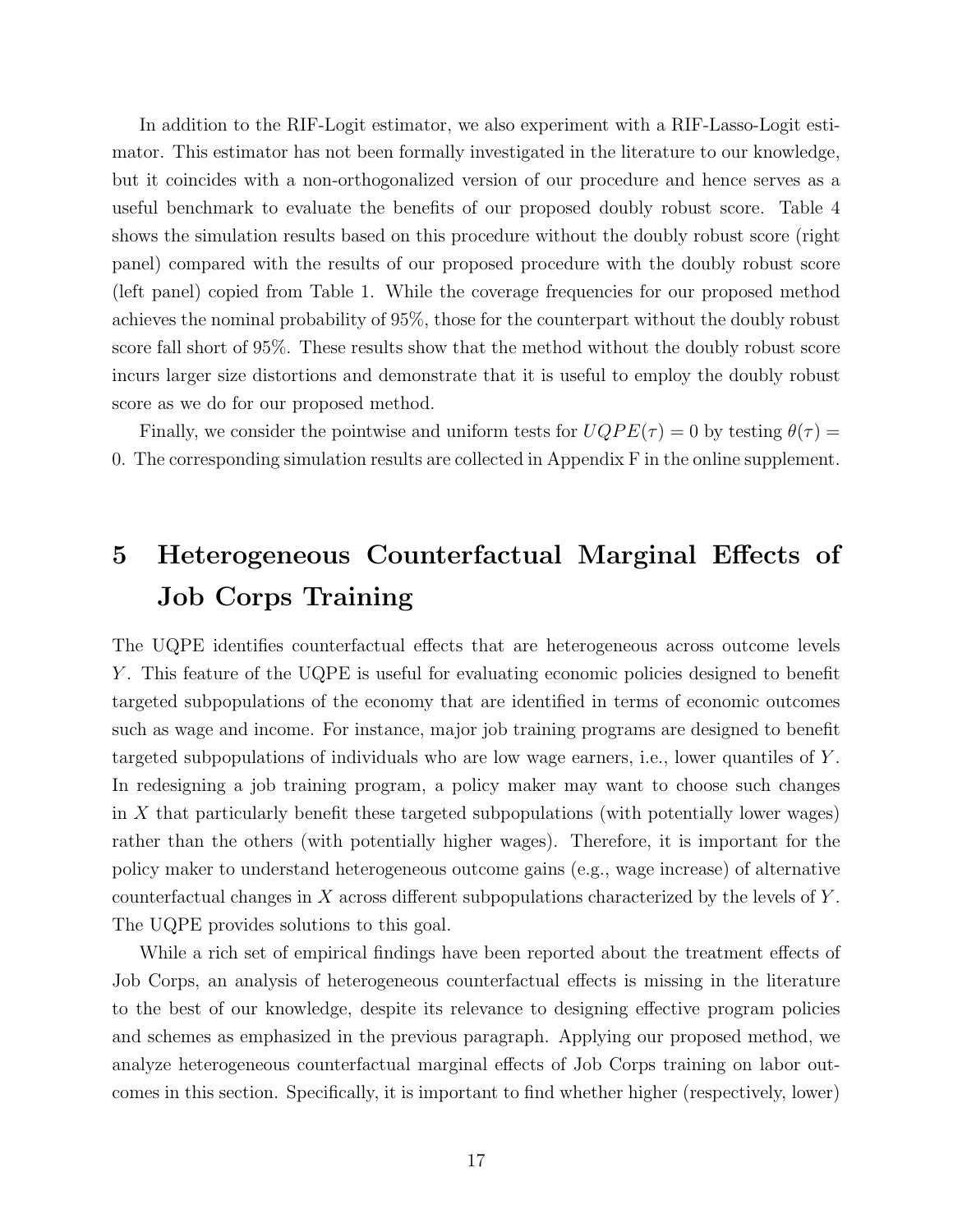In addition to the RIF-Logit estimator, we also experiment with a RIF-Lasso-Logit estimator. This estimator has not been formally investigated in the literature to our knowledge, but it coincides with a non-orthogonalized version of our procedure and hence serves as a useful benchmark to evaluate the benefits of our proposed doubly robust score. Table [4](#page-25-0) shows the simulation results based on this procedure without the doubly robust score (right panel) compared with the results of our proposed procedure with the doubly robust score (left panel) copied from Table [1.](#page-22-0) While the coverage frequencies for our proposed method achieves the nominal probability of 95%, those for the counterpart without the doubly robust score fall short of 95%. These results show that the method without the doubly robust score incurs larger size distortions and demonstrate that it is useful to employ the doubly robust score as we do for our proposed method.

Finally, we consider the pointwise and uniform tests for  $UQPE(\tau) = 0$  by testing  $\theta(\tau) =$ 0. The corresponding simulation results are collected in Appendix [F](#page-19-0) in the online supplement.

# 5 Heterogeneous Counterfactual Marginal Effects of Job Corps Training

The UQPE identifies counterfactual effects that are heterogeneous across outcome levels Y . This feature of the UQPE is useful for evaluating economic policies designed to benefit targeted subpopulations of the economy that are identified in terms of economic outcomes such as wage and income. For instance, major job training programs are designed to benefit targeted subpopulations of individuals who are low wage earners, i.e., lower quantiles of Y . In redesigning a job training program, a policy maker may want to choose such changes in X that particularly benefit these targeted subpopulations (with potentially lower wages) rather than the others (with potentially higher wages). Therefore, it is important for the policy maker to understand heterogeneous outcome gains (e.g., wage increase) of alternative counterfactual changes in X across different subpopulations characterized by the levels of Y . The UQPE provides solutions to this goal.

While a rich set of empirical findings have been reported about the treatment effects of Job Corps, an analysis of heterogeneous counterfactual effects is missing in the literature to the best of our knowledge, despite its relevance to designing effective program policies and schemes as emphasized in the previous paragraph. Applying our proposed method, we analyze heterogeneous counterfactual marginal effects of Job Corps training on labor outcomes in this section. Specifically, it is important to find whether higher (respectively, lower)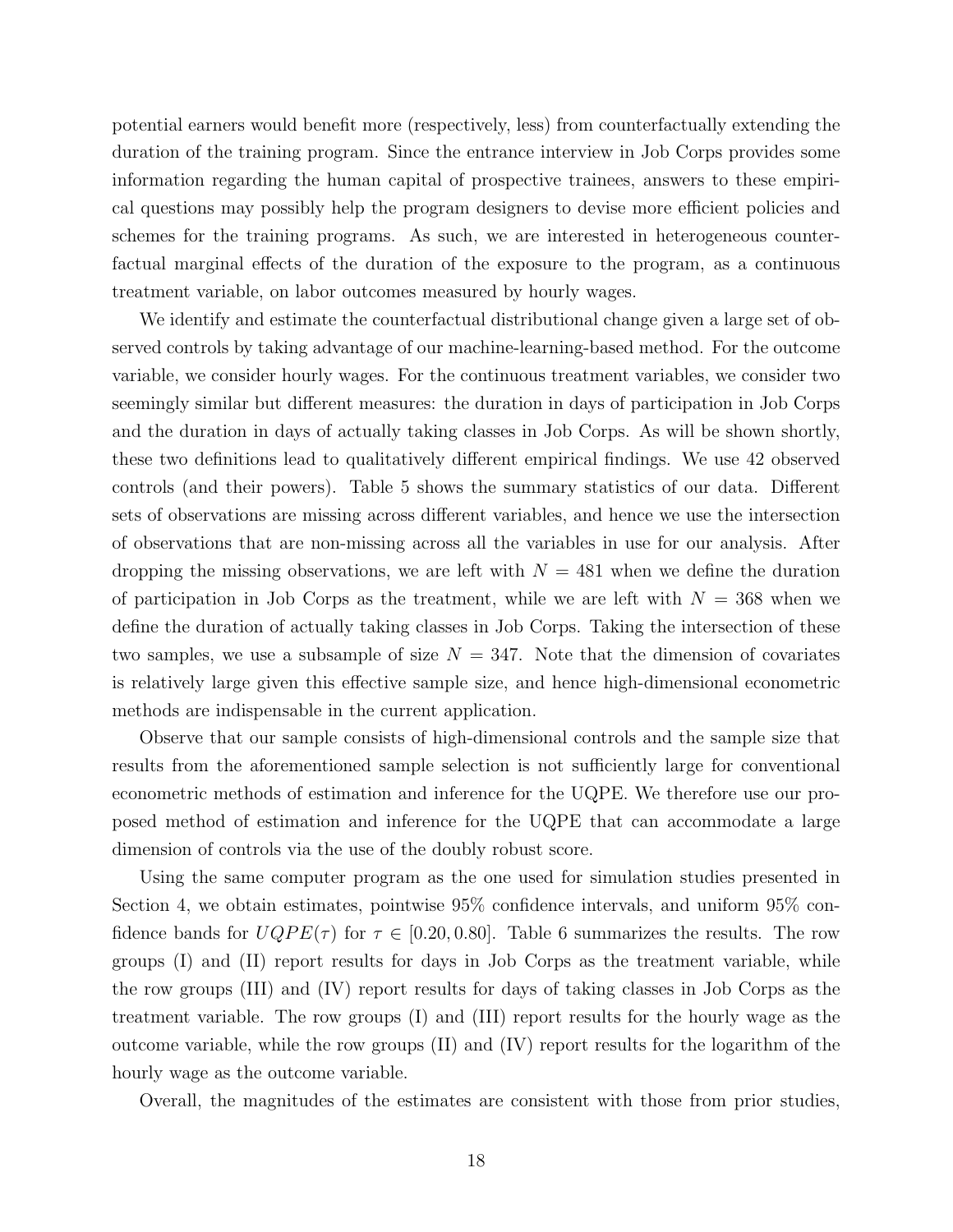potential earners would benefit more (respectively, less) from counterfactually extending the duration of the training program. Since the entrance interview in Job Corps provides some information regarding the human capital of prospective trainees, answers to these empirical questions may possibly help the program designers to devise more efficient policies and schemes for the training programs. As such, we are interested in heterogeneous counterfactual marginal effects of the duration of the exposure to the program, as a continuous treatment variable, on labor outcomes measured by hourly wages.

We identify and estimate the counterfactual distributional change given a large set of observed controls by taking advantage of our machine-learning-based method. For the outcome variable, we consider hourly wages. For the continuous treatment variables, we consider two seemingly similar but different measures: the duration in days of participation in Job Corps and the duration in days of actually taking classes in Job Corps. As will be shown shortly, these two definitions lead to qualitatively different empirical findings. We use 42 observed controls (and their powers). Table [5](#page-26-0) shows the summary statistics of our data. Different sets of observations are missing across different variables, and hence we use the intersection of observations that are non-missing across all the variables in use for our analysis. After dropping the missing observations, we are left with  $N = 481$  when we define the duration of participation in Job Corps as the treatment, while we are left with  $N = 368$  when we define the duration of actually taking classes in Job Corps. Taking the intersection of these two samples, we use a subsample of size  $N = 347$ . Note that the dimension of covariates is relatively large given this effective sample size, and hence high-dimensional econometric methods are indispensable in the current application.

Observe that our sample consists of high-dimensional controls and the sample size that results from the aforementioned sample selection is not sufficiently large for conventional econometric methods of estimation and inference for the UQPE. We therefore use our proposed method of estimation and inference for the UQPE that can accommodate a large dimension of controls via the use of the doubly robust score.

Using the same computer program as the one used for simulation studies presented in Section [4,](#page-14-0) we obtain estimates, pointwise 95% confidence intervals, and uniform 95% confidence bands for  $UQPE(\tau)$  for  $\tau \in [0.20, 0.80]$ . Table [6](#page-27-0) summarizes the results. The row groups (I) and (II) report results for days in Job Corps as the treatment variable, while the row groups (III) and (IV) report results for days of taking classes in Job Corps as the treatment variable. The row groups (I) and (III) report results for the hourly wage as the outcome variable, while the row groups (II) and (IV) report results for the logarithm of the hourly wage as the outcome variable.

Overall, the magnitudes of the estimates are consistent with those from prior studies,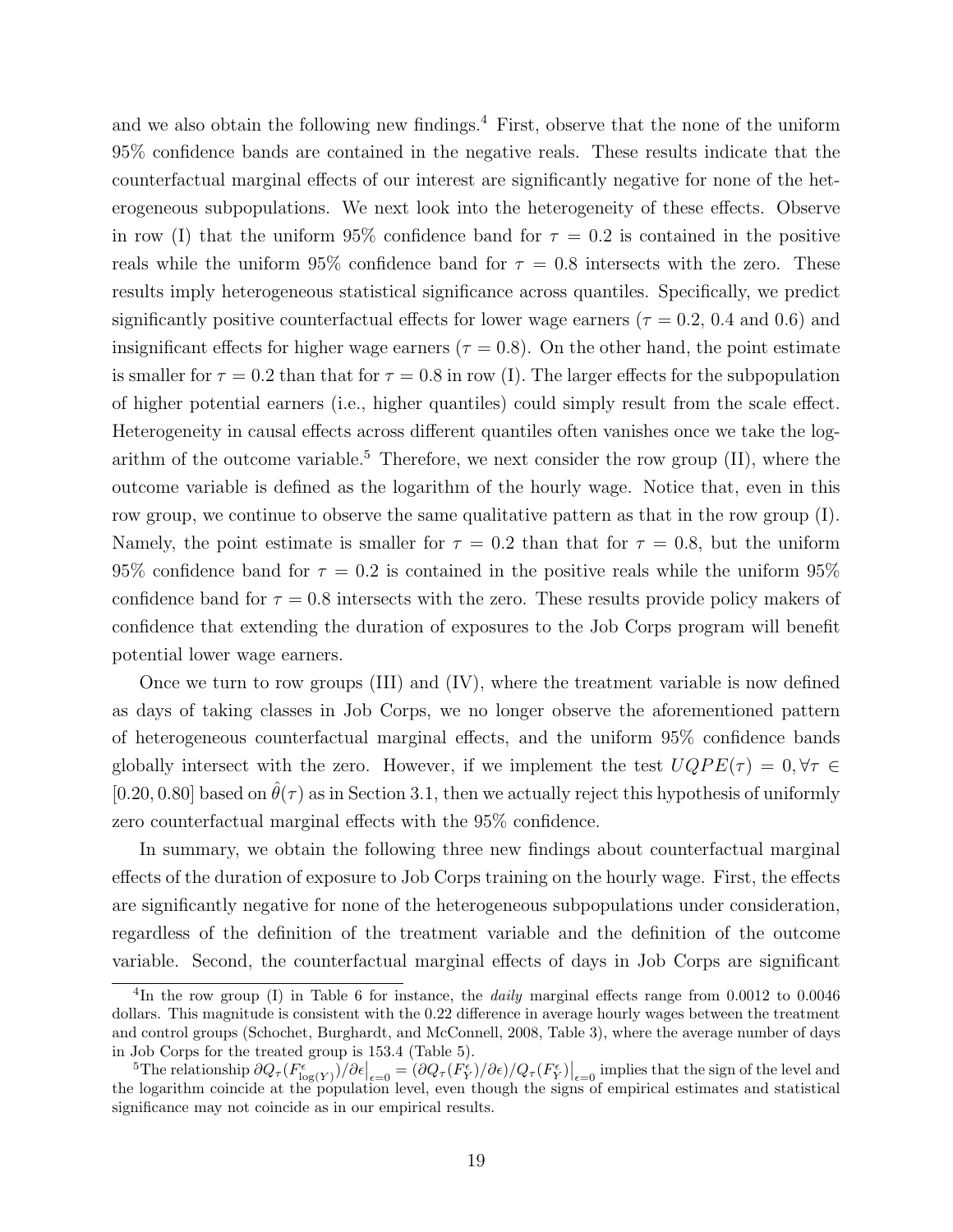and we also obtain the following new findings.<sup>[4](#page-18-0)</sup> First, observe that the none of the uniform 95% confidence bands are contained in the negative reals. These results indicate that the counterfactual marginal effects of our interest are significantly negative for none of the heterogeneous subpopulations. We next look into the heterogeneity of these effects. Observe in row (I) that the uniform 95% confidence band for  $\tau = 0.2$  is contained in the positive reals while the uniform 95% confidence band for  $\tau = 0.8$  intersects with the zero. These results imply heterogeneous statistical significance across quantiles. Specifically, we predict significantly positive counterfactual effects for lower wage earners ( $\tau = 0.2, 0.4$  and 0.6) and insignificant effects for higher wage earners ( $\tau = 0.8$ ). On the other hand, the point estimate is smaller for  $\tau = 0.2$  than that for  $\tau = 0.8$  in row (I). The larger effects for the subpopulation of higher potential earners (i.e., higher quantiles) could simply result from the scale effect. Heterogeneity in causal effects across different quantiles often vanishes once we take the log-arithm of the outcome variable.<sup>[5](#page-18-1)</sup> Therefore, we next consider the row group  $(II)$ , where the outcome variable is defined as the logarithm of the hourly wage. Notice that, even in this row group, we continue to observe the same qualitative pattern as that in the row group (I). Namely, the point estimate is smaller for  $\tau = 0.2$  than that for  $\tau = 0.8$ , but the uniform 95% confidence band for  $\tau = 0.2$  is contained in the positive reals while the uniform 95% confidence band for  $\tau = 0.8$  intersects with the zero. These results provide policy makers of confidence that extending the duration of exposures to the Job Corps program will benefit potential lower wage earners.

Once we turn to row groups (III) and (IV), where the treatment variable is now defined as days of taking classes in Job Corps, we no longer observe the aforementioned pattern of heterogeneous counterfactual marginal effects, and the uniform 95% confidence bands globally intersect with the zero. However, if we implement the test  $UQPE(\tau) = 0, \forall \tau \in$ [0.20, 0.80] based on  $\hat{\theta}(\tau)$  as in Section [3.1,](#page-12-2) then we actually reject this hypothesis of uniformly zero counterfactual marginal effects with the 95% confidence.

In summary, we obtain the following three new findings about counterfactual marginal effects of the duration of exposure to Job Corps training on the hourly wage. First, the effects are significantly negative for none of the heterogeneous subpopulations under consideration, regardless of the definition of the treatment variable and the definition of the outcome variable. Second, the counterfactual marginal effects of days in Job Corps are significant

<span id="page-18-0"></span><sup>&</sup>lt;sup>4</sup>In the row group (I) in Table [6](#page-27-0) for instance, the *daily* marginal effects range from 0.0012 to 0.0046 dollars. This magnitude is consistent with the 0.22 difference in average hourly wages between the treatment and control groups [\(Schochet, Burghardt, and McConnell, 2008,](#page-21-6) Table 3), where the average number of days in Job Corps for the treated group is 153.4 (Table [5\)](#page-26-0).

<span id="page-18-1"></span><sup>&</sup>lt;sup>5</sup>The relationship  $\partial Q_{\tau}(F_{\log(Y)}^{\epsilon})/\partial \epsilon|_{\epsilon=0} = (\partial Q_{\tau}(F_Y^{\epsilon})/\partial \epsilon)/Q_{\tau}(F_Y^{\epsilon})|_{\epsilon=0}$  implies that the sign of the level and the logarithm coincide at the population level, even though the signs of empirical estimates and statistical significance may not coincide as in our empirical results.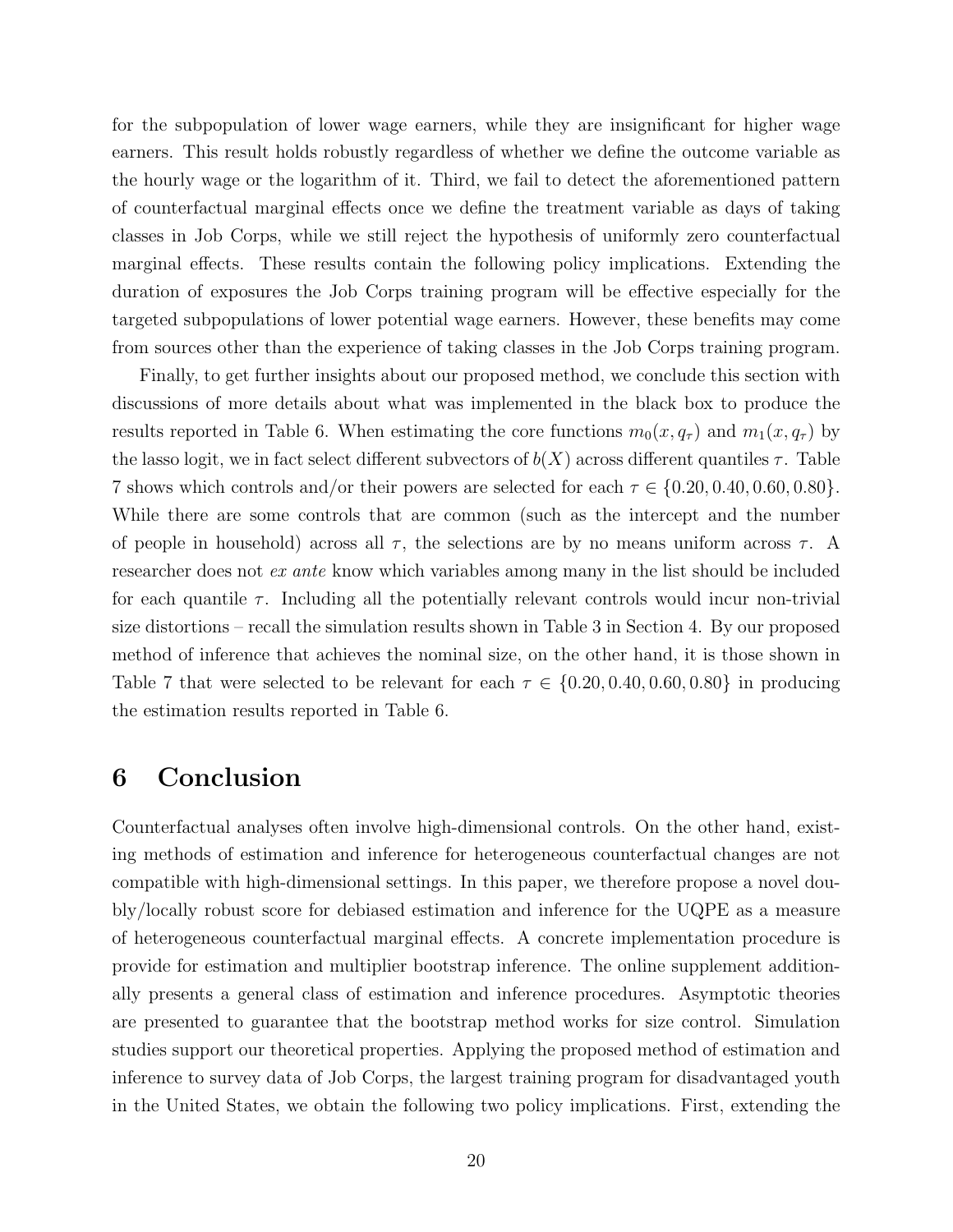for the subpopulation of lower wage earners, while they are insignificant for higher wage earners. This result holds robustly regardless of whether we define the outcome variable as the hourly wage or the logarithm of it. Third, we fail to detect the aforementioned pattern of counterfactual marginal effects once we define the treatment variable as days of taking classes in Job Corps, while we still reject the hypothesis of uniformly zero counterfactual marginal effects. These results contain the following policy implications. Extending the duration of exposures the Job Corps training program will be effective especially for the targeted subpopulations of lower potential wage earners. However, these benefits may come from sources other than the experience of taking classes in the Job Corps training program.

Finally, to get further insights about our proposed method, we conclude this section with discussions of more details about what was implemented in the black box to produce the results reported in Table [6.](#page-27-0) When estimating the core functions  $m_0(x, q_\tau)$  and  $m_1(x, q_\tau)$  by the lasso logit, we in fact select different subvectors of  $b(X)$  across different quantiles  $\tau$ . Table [7](#page-27-1) shows which controls and/or their powers are selected for each  $\tau \in \{0.20, 0.40, 0.60, 0.80\}$ . While there are some controls that are common (such as the intercept and the number of people in household) across all  $\tau$ , the selections are by no means uniform across  $\tau$ . A researcher does not ex ante know which variables among many in the list should be included for each quantile  $\tau$ . Including all the potentially relevant controls would incur non-trivial size distortions – recall the simulation results shown in Table [3](#page-24-0) in Section [4.](#page-14-0) By our proposed method of inference that achieves the nominal size, on the other hand, it is those shown in Table [7](#page-27-1) that were selected to be relevant for each  $\tau \in \{0.20, 0.40, 0.60, 0.80\}$  in producing the estimation results reported in Table [6.](#page-27-0)

### <span id="page-19-0"></span>6 Conclusion

Counterfactual analyses often involve high-dimensional controls. On the other hand, existing methods of estimation and inference for heterogeneous counterfactual changes are not compatible with high-dimensional settings. In this paper, we therefore propose a novel doubly/locally robust score for debiased estimation and inference for the UQPE as a measure of heterogeneous counterfactual marginal effects. A concrete implementation procedure is provide for estimation and multiplier bootstrap inference. The online supplement additionally presents a general class of estimation and inference procedures. Asymptotic theories are presented to guarantee that the bootstrap method works for size control. Simulation studies support our theoretical properties. Applying the proposed method of estimation and inference to survey data of Job Corps, the largest training program for disadvantaged youth in the United States, we obtain the following two policy implications. First, extending the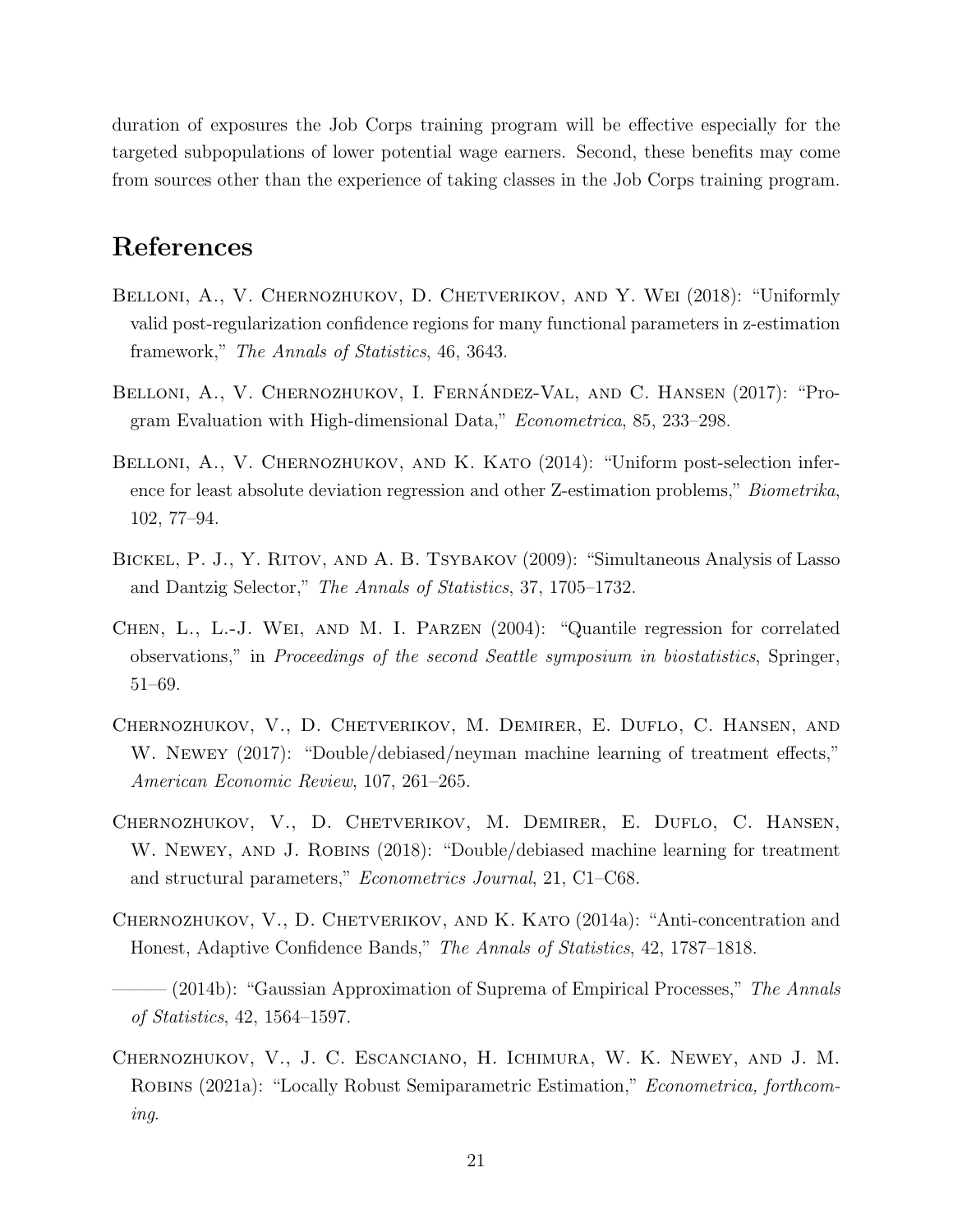duration of exposures the Job Corps training program will be effective especially for the targeted subpopulations of lower potential wage earners. Second, these benefits may come from sources other than the experience of taking classes in the Job Corps training program.

## References

- <span id="page-20-1"></span>BELLONI, A., V. CHERNOZHUKOV, D. CHETVERIKOV, AND Y. WEI (2018): "Uniformly valid post-regularization confidence regions for many functional parameters in z-estimation framework," The Annals of Statistics, 46, 3643.
- <span id="page-20-5"></span>BELLONI, A., V. CHERNOZHUKOV, I. FERNÁNDEZ-VAL, AND C. HANSEN (2017): "Program Evaluation with High-dimensional Data," Econometrica, 85, 233–298.
- <span id="page-20-0"></span>BELLONI, A., V. CHERNOZHUKOV, AND K. KATO (2014): "Uniform post-selection inference for least absolute deviation regression and other Z-estimation problems," Biometrika, 102, 77–94.
- <span id="page-20-7"></span>BICKEL, P. J., Y. RITOV, AND A. B. TSYBAKOV (2009): "Simultaneous Analysis of Lasso and Dantzig Selector," The Annals of Statistics, 37, 1705–1732.
- <span id="page-20-6"></span>Chen, L., L.-J. Wei, and M. I. Parzen (2004): "Quantile regression for correlated observations," in Proceedings of the second Seattle symposium in biostatistics, Springer, 51–69.
- <span id="page-20-2"></span>Chernozhukov, V., D. Chetverikov, M. Demirer, E. Duflo, C. Hansen, and W. NEWEY (2017): "Double/debiased/neyman machine learning of treatment effects," American Economic Review, 107, 261–265.
- <span id="page-20-3"></span>Chernozhukov, V., D. Chetverikov, M. Demirer, E. Duflo, C. Hansen, W. NEWEY, AND J. ROBINS (2018): "Double/debiased machine learning for treatment and structural parameters," Econometrics Journal, 21, C1–C68.
- <span id="page-20-8"></span>Chernozhukov, V., D. Chetverikov, and K. Kato (2014a): "Anti-concentration and Honest, Adaptive Confidence Bands," The Annals of Statistics, 42, 1787–1818.
- <span id="page-20-9"></span> $-(2014b)$ : "Gaussian Approximation of Suprema of Empirical Processes," The Annals of Statistics, 42, 1564–1597.
- <span id="page-20-4"></span>Chernozhukov, V., J. C. Escanciano, H. Ichimura, W. K. Newey, and J. M. Robins (2021a): "Locally Robust Semiparametric Estimation," Econometrica, forthcoming.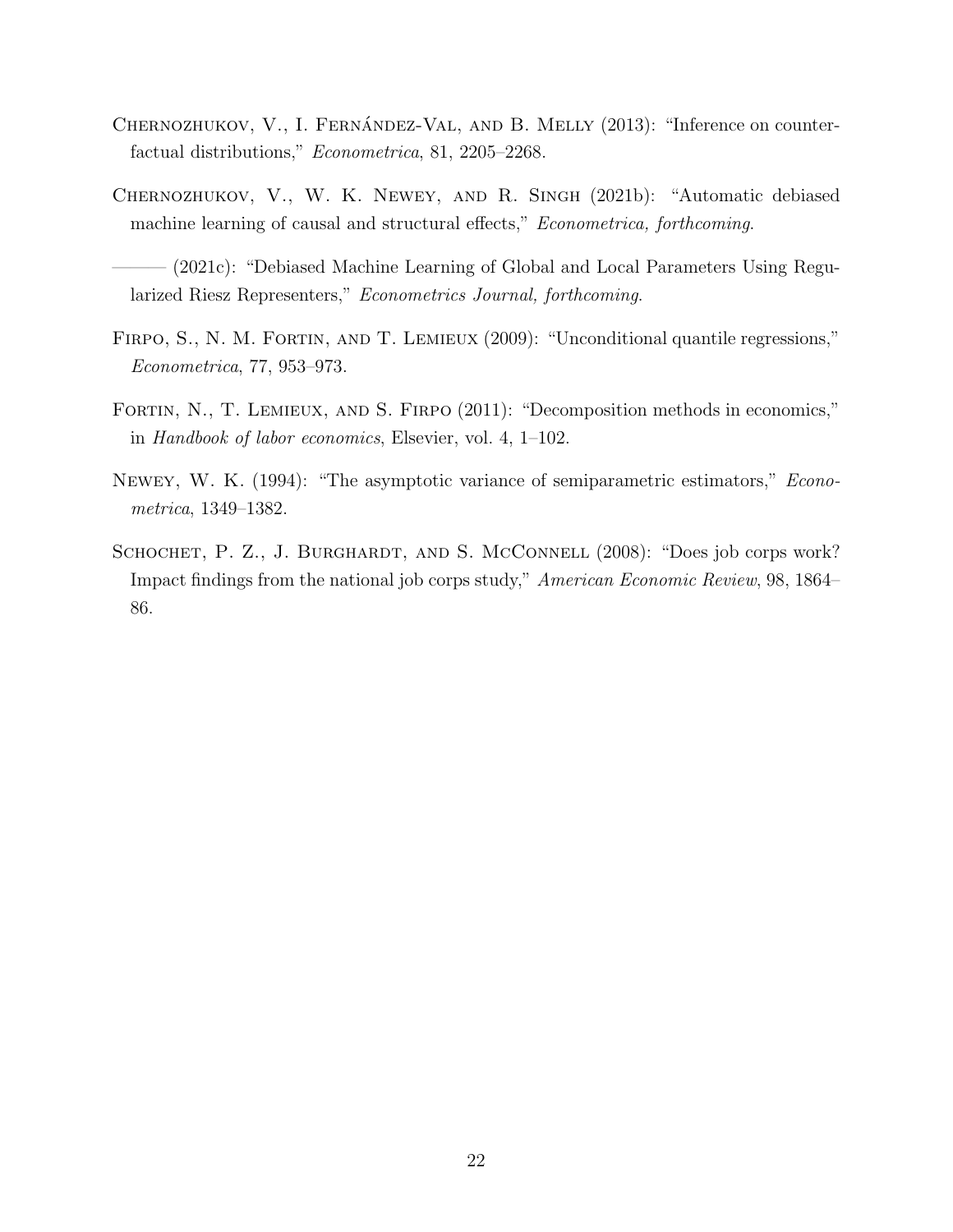- <span id="page-21-2"></span>CHERNOZHUKOV, V., I. FERNÁNDEZ-VAL, AND B. MELLY  $(2013)$ : "Inference on counterfactual distributions," Econometrica, 81, 2205–2268.
- <span id="page-21-4"></span>Chernozhukov, V., W. K. Newey, and R. Singh (2021b): "Automatic debiased machine learning of causal and structural effects," *Econometrica*, forthcoming.
- <span id="page-21-5"></span>- (2021c): "Debiased Machine Learning of Global and Local Parameters Using Regularized Riesz Representers," Econometrics Journal, forthcoming.
- <span id="page-21-0"></span>FIRPO, S., N. M. FORTIN, AND T. LEMIEUX (2009): "Unconditional quantile regressions," Econometrica, 77, 953–973.
- <span id="page-21-1"></span>FORTIN, N., T. LEMIEUX, AND S. FIRPO (2011): "Decomposition methods in economics," in Handbook of labor economics, Elsevier, vol. 4, 1–102.
- <span id="page-21-3"></span>Newey, W. K. (1994): "The asymptotic variance of semiparametric estimators," Econometrica, 1349–1382.
- <span id="page-21-6"></span>SCHOCHET, P. Z., J. BURGHARDT, AND S. MCCONNELL (2008): "Does job corps work? Impact findings from the national job corps study," American Economic Review, 98, 1864– 86.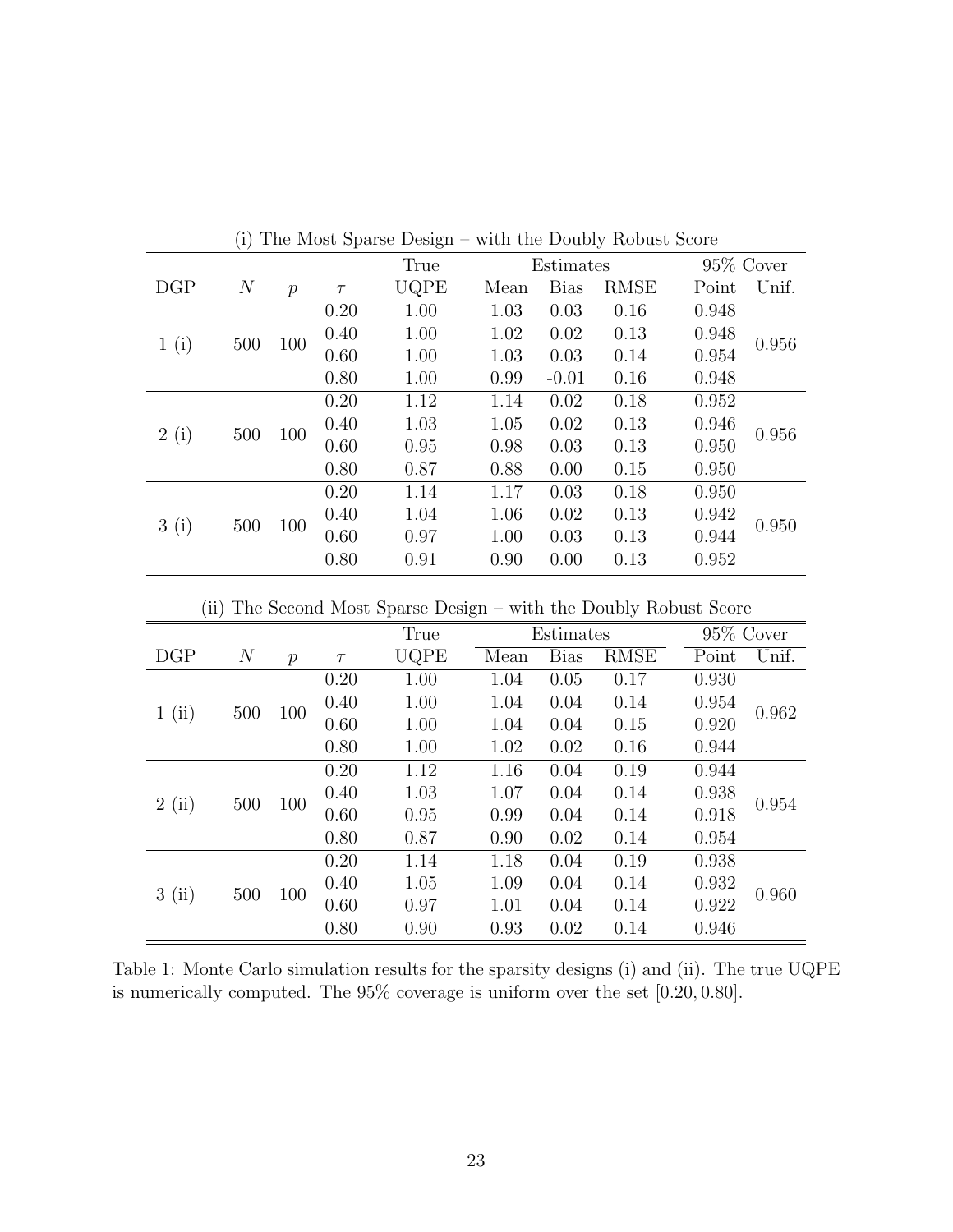|      | \"/            |               |        | $- - - - -$ |      |             |             |       |           |
|------|----------------|---------------|--------|-------------|------|-------------|-------------|-------|-----------|
|      |                |               |        | True        |      | Estimates   |             |       | 95% Cover |
| DGP  | $\overline{N}$ | $\mathcal{P}$ | $\tau$ | UQPE        | Mean | <b>Bias</b> | <b>RMSE</b> | Point | Unif.     |
|      |                |               | 0.20   | 1.00        | 1.03 | 0.03        | 0.16        | 0.948 |           |
|      | 500            | 100           | 0.40   | 1.00        | 1.02 | 0.02        | 0.13        | 0.948 | 0.956     |
| 1(i) |                |               | 0.60   | 1.00        | 1.03 | 0.03        | 0.14        | 0.954 |           |
|      |                |               | 0.80   | 1.00        | 0.99 | $-0.01$     | 0.16        | 0.948 |           |
|      |                |               | 0.20   | 1.12        | 1.14 | 0.02        | 0.18        | 0.952 |           |
|      | 500            | 100           | 0.40   | 1.03        | 1.05 | 0.02        | 0.13        | 0.946 | 0.956     |
| 2(i) |                |               | 0.60   | 0.95        | 0.98 | 0.03        | 0.13        | 0.950 |           |
|      |                |               | 0.80   | 0.87        | 0.88 | 0.00        | 0.15        | 0.950 |           |
|      |                |               | 0.20   | 1.14        | 1.17 | 0.03        | 0.18        | 0.950 |           |
| 3(i) | 500            | 100           | 0.40   | 1.04        | 1.06 | 0.02        | 0.13        | 0.942 | 0.950     |
|      |                |               | 0.60   | 0.97        | 1.00 | 0.03        | 0.13        | 0.944 |           |
|      |                |               | 0.80   | 0.91        | 0.90 | 0.00        | 0.13        | 0.952 |           |

(i) The Most Sparse Design – with the Doubly Robust Score

(ii) The Second Most Sparse Design – with the Doubly Robust Score

|      |                |                  |        | True                         |      | Estimates   |             |       | 95\% Cover |
|------|----------------|------------------|--------|------------------------------|------|-------------|-------------|-------|------------|
| DGP  | $\overline{N}$ | $\boldsymbol{p}$ | $\tau$ | $\ensuremath{\mathrm{UQPE}}$ | Mean | <b>Bias</b> | <b>RMSE</b> | Point | Unif.      |
|      |                |                  | 0.20   | 1.00                         | 1.04 | 0.05        | 0.17        | 0.930 |            |
| 1(i) | 500            | 100              | 0.40   | 1.00                         | 1.04 | 0.04        | 0.14        | 0.954 | 0.962      |
|      |                |                  | 0.60   | 1.00                         | 1.04 | 0.04        | 0.15        | 0.920 |            |
|      |                |                  | 0.80   | 1.00                         | 1.02 | 0.02        | 0.16        | 0.944 |            |
|      |                |                  | 0.20   | 1.12                         | 1.16 | 0.04        | 0.19        | 0.944 | 0.954      |
| 2(i) | 500            | 100              | 0.40   | 1.03                         | 1.07 | 0.04        | 0.14        | 0.938 |            |
|      |                |                  | 0.60   | 0.95                         | 0.99 | 0.04        | 0.14        | 0.918 |            |
|      |                |                  | 0.80   | 0.87                         | 0.90 | 0.02        | 0.14        | 0.954 |            |
|      |                |                  | 0.20   | 1.14                         | 1.18 | 0.04        | 0.19        | 0.938 |            |
| 3(i) | 500            |                  | 0.40   | 1.05                         | 1.09 | 0.04        | 0.14        | 0.932 |            |
|      |                | 100              | 0.60   | 0.97                         | 1.01 | 0.04        | 0.14        | 0.922 | 0.960      |
|      |                |                  | 0.80   | 0.90                         | 0.93 | 0.02        | 0.14        | 0.946 |            |

<span id="page-22-0"></span>Table 1: Monte Carlo simulation results for the sparsity designs (i) and (ii). The true UQPE is numerically computed. The 95% coverage is uniform over the set [0.20, 0.80].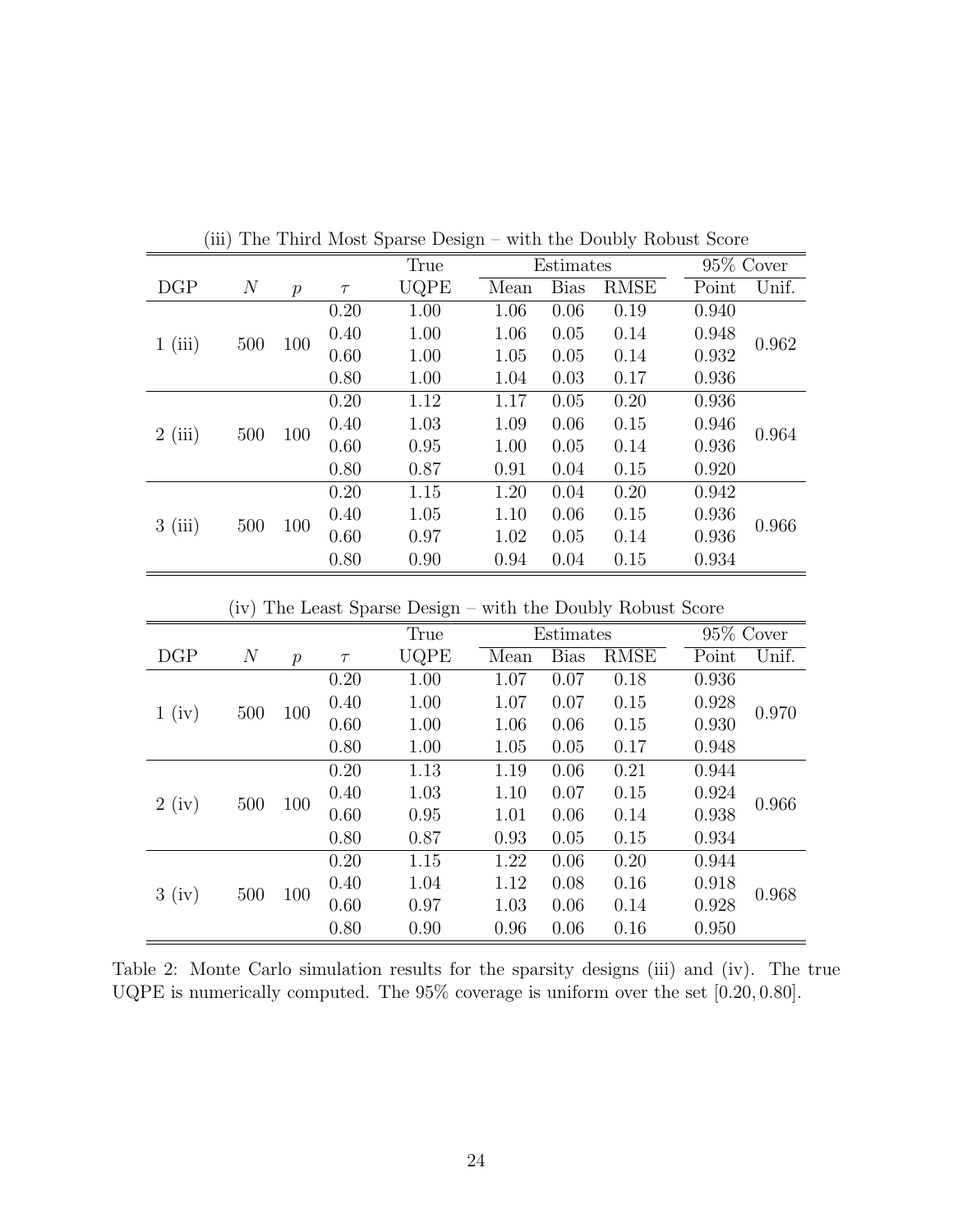|        | $\cdots$       |               |        | THE THIRT MODE Sparse Design |      |             |             | with the Doubly respect beard |       |
|--------|----------------|---------------|--------|------------------------------|------|-------------|-------------|-------------------------------|-------|
|        |                |               |        | True                         |      | Estimates   |             | 95% Cover                     |       |
| DGP    | $\overline{N}$ | $\mathcal{p}$ | $\tau$ | UQPE                         | Mean | <b>Bias</b> | <b>RMSE</b> | Point                         | Unif. |
|        |                |               | 0.20   | 1.00                         | 1.06 | 0.06        | 0.19        | 0.940                         |       |
| 1(iii) | 500            | 100           | 0.40   | 1.00                         | 1.06 | 0.05        | 0.14        | 0.948                         | 0.962 |
|        |                |               | 0.60   | 1.00                         | 1.05 | 0.05        | 0.14        | 0.932                         |       |
|        |                |               | 0.80   | 1.00                         | 1.04 | 0.03        | 0.17        | 0.936                         |       |
|        |                |               | 0.20   | 1.12                         | 1.17 | 0.05        | 0.20        | 0.936                         |       |
| 2(iii) | 500            | 100           | 0.40   | 1.03                         | 1.09 | 0.06        | 0.15        | 0.946                         | 0.964 |
|        |                |               | 0.60   | 0.95                         | 1.00 | 0.05        | 0.14        | 0.936                         |       |
|        |                |               | 0.80   | 0.87                         | 0.91 | 0.04        | 0.15        | 0.920                         |       |
|        |                |               | 0.20   | 1.15                         | 1.20 | 0.04        | 0.20        | 0.942                         |       |
| 3(iii) | 500            | 100           | 0.40   | 1.05                         | 1.10 | 0.06        | 0.15        | 0.936                         | 0.966 |
|        |                |               | 0.60   | 0.97                         | 1.02 | 0.05        | 0.14        | 0.936                         |       |
|        |                |               | 0.80   | 0.90                         | 0.94 | 0.04        | 0.15        | 0.934                         |       |

(iii) The Third Most Sparse Design – with the Doubly Robust Score

(iv) The Least Sparse Design – with the Doubly Robust Score

|       |       |                  |        | True |      | Estimates   |             | $\overline{95\%}$ Cover |       |
|-------|-------|------------------|--------|------|------|-------------|-------------|-------------------------|-------|
| DGP   | $\,N$ | $\boldsymbol{p}$ | $\tau$ | UQPE | Mean | <b>Bias</b> | <b>RMSE</b> | Point                   | Unif. |
|       |       |                  | 0.20   | 1.00 | 1.07 | 0.07        | 0.18        | 0.936                   |       |
| 1(iv) | 500   | 100              | 0.40   | 1.00 | 1.07 | 0.07        | 0.15        | 0.928                   | 0.970 |
|       |       |                  | 0.60   | 1.00 | 1.06 | 0.06        | 0.15        | 0.930                   |       |
|       |       |                  | 0.80   | 1.00 | 1.05 | 0.05        | 0.17        | 0.948                   |       |
|       |       | 100              | 0.20   | 1.13 | 1.19 | 0.06        | 0.21        | 0.944                   | 0.966 |
| 2(iv) | 500   |                  | 0.40   | 1.03 | 1.10 | 0.07        | 0.15        | 0.924                   |       |
|       |       |                  | 0.60   | 0.95 | 1.01 | 0.06        | 0.14        | 0.938                   |       |
|       |       |                  | 0.80   | 0.87 | 0.93 | 0.05        | 0.15        | 0.934                   |       |
|       |       |                  | 0.20   | 1.15 | 1.22 | 0.06        | 0.20        | 0.944                   |       |
| 3(iv) |       | 100              | 0.40   | 1.04 | 1.12 | 0.08        | 0.16        | 0.918                   | 0.968 |
|       | 500   |                  | 0.60   | 0.97 | 1.03 | 0.06        | 0.14        | 0.928                   |       |
|       |       |                  | 0.80   | 0.90 | 0.96 | 0.06        | 0.16        | 0.950                   |       |

<span id="page-23-0"></span>Table 2: Monte Carlo simulation results for the sparsity designs (iii) and (iv). The true UQPE is numerically computed. The 95% coverage is uniform over the set [0.20, 0.80].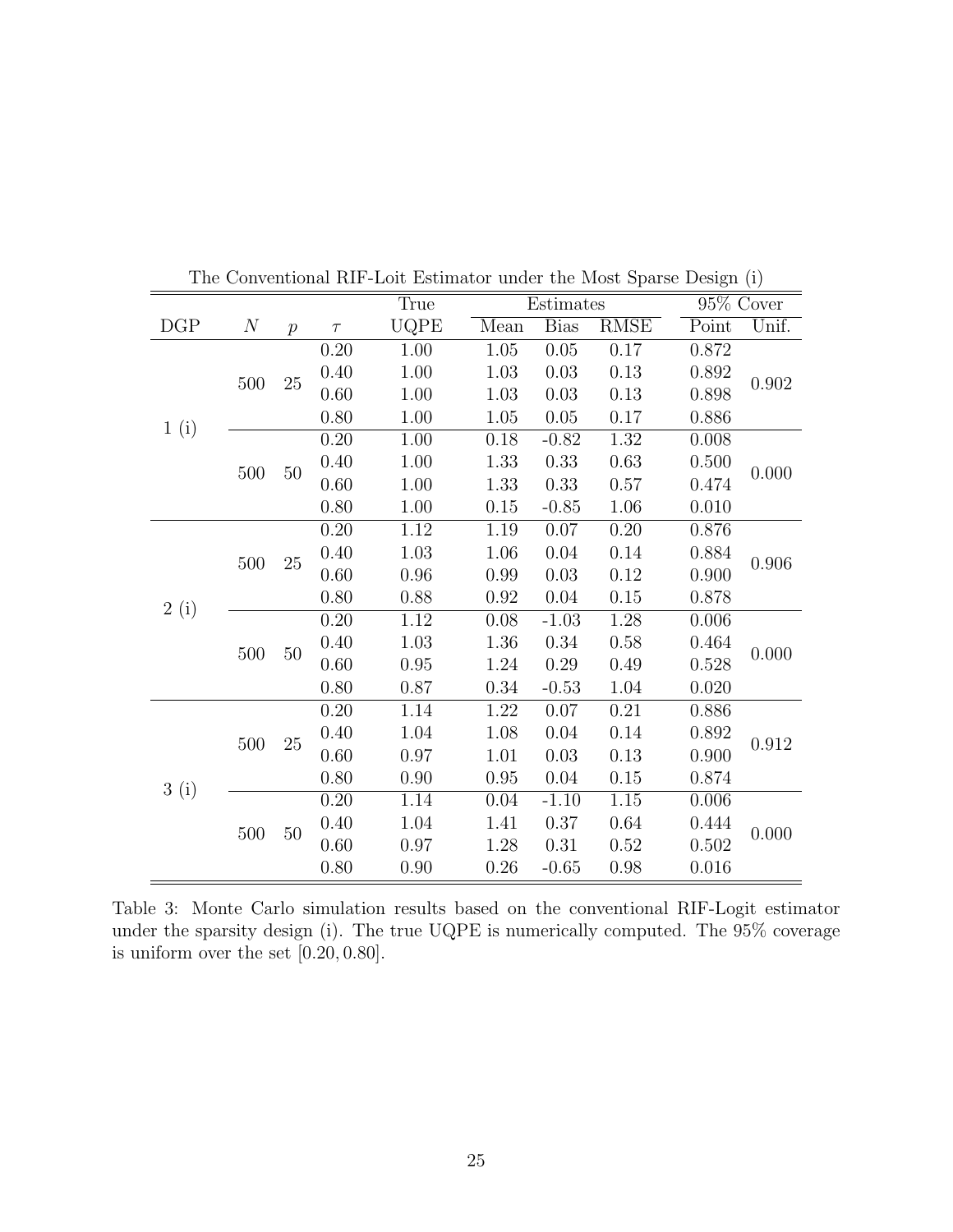|      |                  |                  |        | True |          | Estimates   |                   | $95\%$ Cover |       |       |
|------|------------------|------------------|--------|------|----------|-------------|-------------------|--------------|-------|-------|
| DGP  | $\boldsymbol{N}$ | $\boldsymbol{p}$ | $\tau$ | UQPE | Mean     | <b>Bias</b> | <b>RMSE</b>       | Point        | Unif. |       |
|      |                  |                  | 0.20   | 1.00 | 1.05     | 0.05        | 0.17              | 0.872        |       |       |
|      |                  | 25               | 0.40   | 1.00 | 1.03     | 0.03        | 0.13              | 0.892        |       |       |
|      | 500              |                  | 0.60   | 1.00 | $1.03\,$ | 0.03        | 0.13              | 0.898        | 0.902 |       |
|      |                  |                  | 0.80   | 1.00 | 1.05     | 0.05        | 0.17              | 0.886        |       |       |
| 1(i) |                  |                  | 0.20   | 1.00 | $0.18\,$ | $-0.82$     | 1.32              | 0.008        |       |       |
|      |                  | $50\,$           | 0.40   | 1.00 | 1.33     | 0.33        | 0.63              | 0.500        | 0.000 |       |
|      | $500\,$          |                  | 0.60   | 1.00 | 1.33     | 0.33        | 0.57              | 0.474        |       |       |
|      |                  |                  | 0.80   | 1.00 | 0.15     | $-0.85$     | 1.06              | 0.010        |       |       |
|      |                  |                  | 0.20   | 1.12 | 1.19     | 0.07        | 0.20              | 0.876        |       |       |
|      | 500              | 25               |        | 0.40 | 1.03     | 1.06        | 0.04              | 0.14         | 0.884 | 0.906 |
|      |                  |                  | 0.60   | 0.96 | 0.99     | 0.03        | 0.12              | 0.900        |       |       |
|      |                  |                  | 0.80   | 0.88 | 0.92     | $0.04\,$    | 0.15              | 0.878        |       |       |
| 2(i) |                  |                  | 0.20   | 1.12 | 0.08     | $-1.03$     | 1.28              | 0.006        |       |       |
|      | 500              |                  | 0.40   | 1.03 | 1.36     | 0.34        | 0.58              | 0.464        | 0.000 |       |
|      |                  | $50\,$           | 0.60   | 0.95 | 1.24     | 0.29        | 0.49              | 0.528        |       |       |
|      |                  |                  | 0.80   | 0.87 | $0.34\,$ | $-0.53$     | 1.04              | 0.020        |       |       |
|      |                  |                  | 0.20   | 1.14 | $1.22\,$ | 0.07        | 0.21              | 0.886        |       |       |
|      | 500              | 25               | 0.40   | 1.04 | 1.08     | 0.04        | 0.14              | 0.892        | 0.912 |       |
|      |                  |                  | 0.60   | 0.97 | 1.01     | 0.03        | 0.13              | 0.900        |       |       |
|      |                  |                  | 0.80   | 0.90 | 0.95     | 0.04        | 0.15              | 0.874        |       |       |
|      | 3(i)             |                  | 0.20   | 1.14 | 0.04     | $-1.10$     | $\overline{1.15}$ | 0.006        |       |       |
|      | 500              | 50               | 0.40   | 1.04 | 1.41     | 0.37        | 0.64              | 0.444        | 0.000 |       |
|      |                  |                  | 0.60   | 0.97 | 1.28     | 0.31        | 0.52              | 0.502        |       |       |
|      |                  |                  | 0.80   | 0.90 | 0.26     | $-0.65$     | 0.98              | 0.016        |       |       |

The Conventional RIF-Loit Estimator under the Most Sparse Design (i)

<span id="page-24-0"></span>Table 3: Monte Carlo simulation results based on the conventional RIF-Logit estimator under the sparsity design (i). The true UQPE is numerically computed. The 95% coverage is uniform over the set [0.20, 0.80].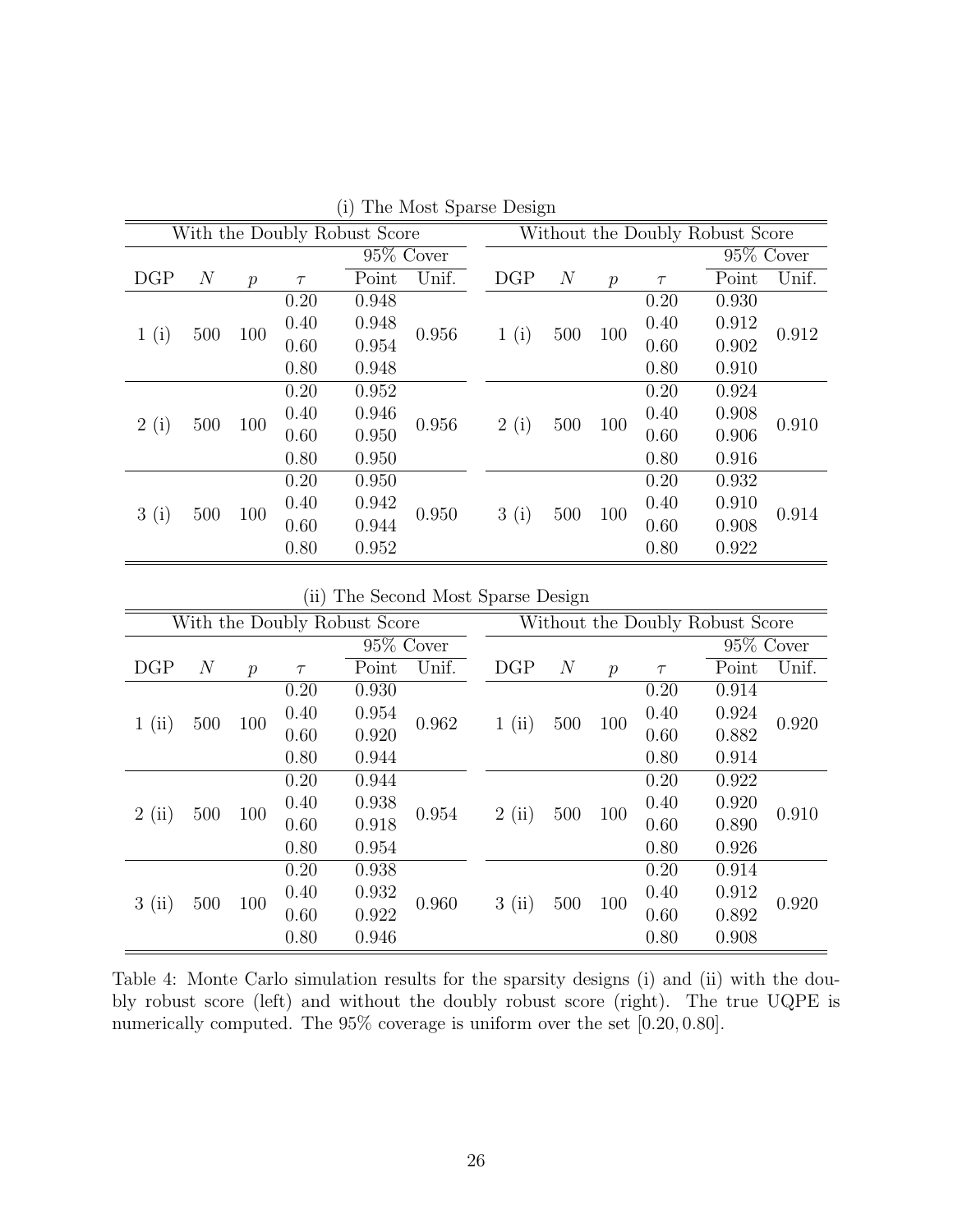|      | (1)<br>THE INDUCT DUING DUISH |               |        |       |              |      |      |                                 |               |        |              |       |  |  |
|------|-------------------------------|---------------|--------|-------|--------------|------|------|---------------------------------|---------------|--------|--------------|-------|--|--|
|      | With the Doubly Robust Score  |               |        |       |              |      |      | Without the Doubly Robust Score |               |        |              |       |  |  |
|      |                               |               |        |       | $95\%$ Cover |      |      |                                 |               |        | $95\%$ Cover |       |  |  |
| DGP  | $\,N$                         | $\mathcal{p}$ | $\tau$ | Point | Unif.        |      | DGP  | $\overline{N}$                  | $\mathcal{p}$ | $\tau$ | Point        | Unif. |  |  |
|      |                               |               | 0.20   | 0.948 |              |      | 1(i) |                                 |               | 0.20   | 0.930        |       |  |  |
|      | 500                           | 100           | 0.40   | 0.948 | 0.956        |      |      | 500                             | 100           | 0.40   | 0.912        | 0.912 |  |  |
| 1(i) |                               |               | 0.60   | 0.954 |              |      |      |                                 |               | 0.60   | 0.902        |       |  |  |
|      |                               |               | 0.80   | 0.948 |              |      |      |                                 |               | 0.80   | 0.910        |       |  |  |
|      |                               |               | 0.20   | 0.952 |              |      |      |                                 |               | 0.20   | 0.924        |       |  |  |
|      | 500                           | 100           | 0.40   | 0.946 | 0.956        |      | 2(i) | 500                             | 100           | 0.40   | 0.908        | 0.910 |  |  |
| 2(i) |                               |               | 0.60   | 0.950 |              |      |      |                                 |               | 0.60   | 0.906        |       |  |  |
|      |                               |               | 0.80   | 0.950 |              |      |      |                                 |               | 0.80   | 0.916        |       |  |  |
|      |                               |               | 0.20   | 0.950 |              |      |      |                                 |               | 0.20   | 0.932        |       |  |  |
| 3(i) | 500                           | 100           | 0.40   | 0.942 |              |      |      |                                 |               | 0.40   | 0.910        |       |  |  |
|      |                               |               | 0.60   | 0.944 | 0.950        | 3(i) | 500  | 100                             | 0.60          | 0.908  | 0.914        |       |  |  |
|      |                               |               | 0.80   | 0.952 |              |      |      |                                 |               | 0.80   | 0.922        |       |  |  |

(i) The Most Sparse Design

(ii) The Second Most Sparse Design

|      |       |               |        | With the Doubly Robust Score |              |      | Without the Doubly Robust Score |       |               |        |              |       |  |
|------|-------|---------------|--------|------------------------------|--------------|------|---------------------------------|-------|---------------|--------|--------------|-------|--|
|      |       |               |        |                              | $95\%$ Cover |      |                                 |       |               |        | $95\%$ Cover |       |  |
| DGP  | $\,N$ | $\mathcal{p}$ | $\tau$ | Point                        | Unif.        |      | DGP                             | $\,N$ | $\mathcal{P}$ | $\tau$ | Point        | Unif. |  |
|      |       |               | 0.20   | 0.930                        |              |      |                                 |       | 100           | 0.20   | 0.914        |       |  |
| 1(i) | 500   | 100           | 0.40   | 0.954                        | 0.962        |      | 1(i)                            | 500   |               | 0.40   | 0.924        | 0.920 |  |
|      |       |               | 0.60   | 0.920                        |              |      |                                 |       |               | 0.60   | 0.882        |       |  |
|      |       |               | 0.80   | 0.944                        |              |      |                                 |       |               | 0.80   | 0.914        |       |  |
|      |       |               | 0.20   | 0.944                        | 0.954        |      |                                 |       |               | 0.20   | 0.922        |       |  |
|      | 500   |               | 0.40   | 0.938                        |              | 2(i) | 500                             | 100   | 0.40          | 0.920  | 0.910        |       |  |
| 2(i) |       | 100           | 0.60   | 0.918                        |              |      |                                 |       | 0.60          | 0.890  |              |       |  |
|      |       |               | 0.80   | 0.954                        |              |      |                                 |       |               | 0.80   | 0.926        |       |  |
|      |       |               | 0.20   | 0.938                        |              |      |                                 |       |               | 0.20   | 0.914        |       |  |
| 3(i) |       |               | 0.40   | 0.932                        |              |      |                                 |       |               | 0.40   | 0.912        |       |  |
|      | 500   | 100           | 0.60   | 0.922                        | 0.960        |      | 3(i)                            | 500   | 100           | 0.60   | 0.892        | 0.920 |  |
|      |       |               | 0.80   | 0.946                        |              |      |                                 |       |               | 0.80   | 0.908        |       |  |

<span id="page-25-0"></span>Table 4: Monte Carlo simulation results for the sparsity designs (i) and (ii) with the doubly robust score (left) and without the doubly robust score (right). The true UQPE is numerically computed. The  $95\%$  coverage is uniform over the set [0.20, 0.80].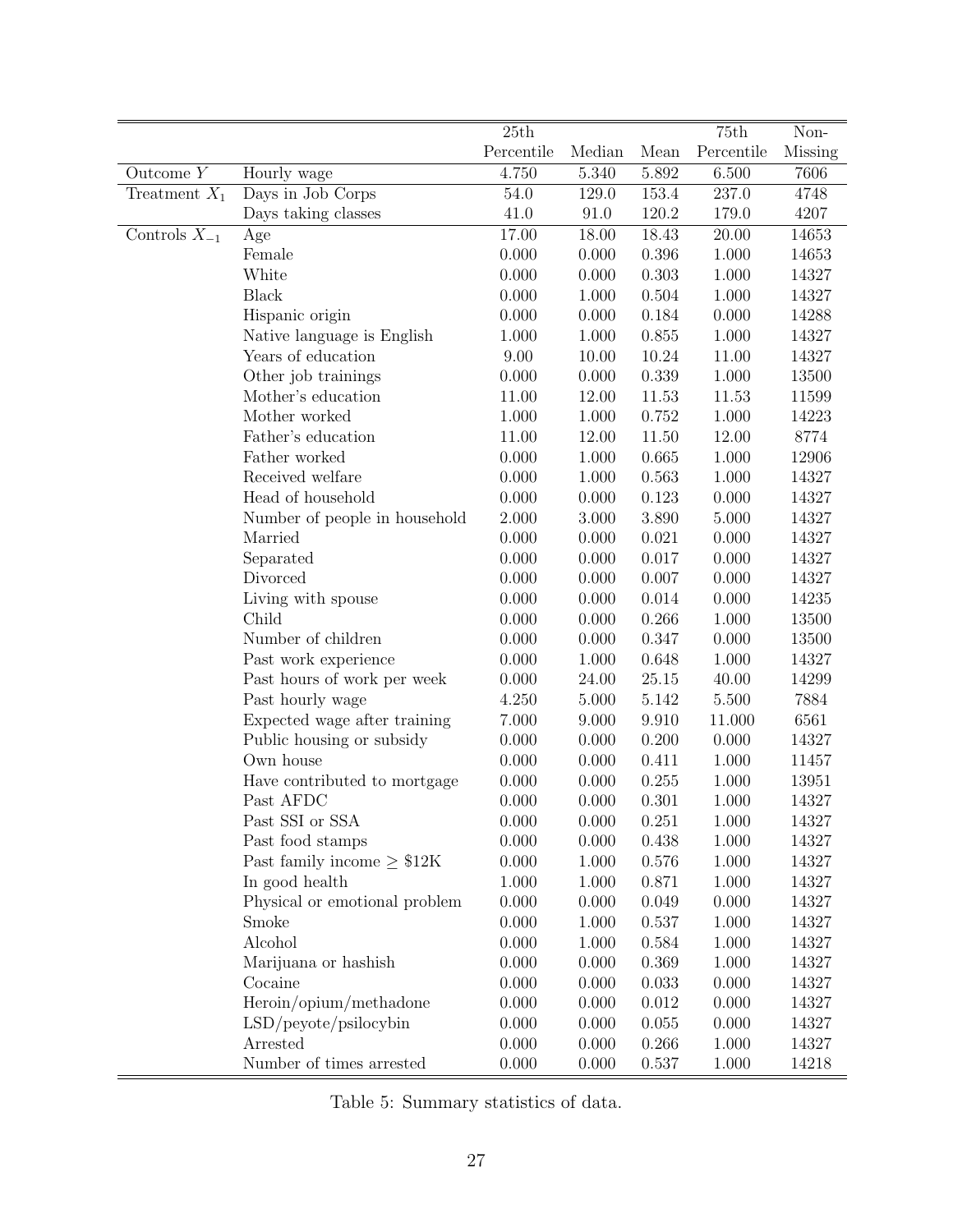|                   |                                 | $\overline{25}th$ |        |       | 75th       | Non-    |
|-------------------|---------------------------------|-------------------|--------|-------|------------|---------|
|                   |                                 | Percentile        | Median | Mean  | Percentile | Missing |
| Outcome $Y$       | Hourly wage                     | 4.750             | 5.340  | 5.892 | 6.500      | 7606    |
| Treatment $X_1$   | Days in Job Corps               | 54.0              | 129.0  | 153.4 | 237.0      | 4748    |
|                   | Days taking classes             | 41.0              | 91.0   | 120.2 | 179.0      | 4207    |
| Controls $X_{-1}$ | Age                             | 17.00             | 18.00  | 18.43 | 20.00      | 14653   |
|                   | Female                          | 0.000             | 0.000  | 0.396 | 1.000      | 14653   |
|                   | White                           | 0.000             | 0.000  | 0.303 | 1.000      | 14327   |
|                   | <b>Black</b>                    | 0.000             | 1.000  | 0.504 | 1.000      | 14327   |
|                   | Hispanic origin                 | 0.000             | 0.000  | 0.184 | 0.000      | 14288   |
|                   | Native language is English      | 1.000             | 1.000  | 0.855 | 1.000      | 14327   |
|                   | Years of education              | 9.00              | 10.00  | 10.24 | 11.00      | 14327   |
|                   | Other job trainings             | 0.000             | 0.000  | 0.339 | 1.000      | 13500   |
|                   | Mother's education              | 11.00             | 12.00  | 11.53 | 11.53      | 11599   |
|                   | Mother worked                   | 1.000             | 1.000  | 0.752 | 1.000      | 14223   |
|                   | Father's education              | 11.00             | 12.00  | 11.50 | 12.00      | 8774    |
|                   | Father worked                   | 0.000             | 1.000  | 0.665 | 1.000      | 12906   |
|                   | Received welfare                | 0.000             | 1.000  | 0.563 | 1.000      | 14327   |
|                   | Head of household               | 0.000             | 0.000  | 0.123 | 0.000      | 14327   |
|                   | Number of people in household   | 2.000             | 3.000  | 3.890 | 5.000      | 14327   |
|                   | Married                         | 0.000             | 0.000  | 0.021 | 0.000      | 14327   |
|                   | Separated                       | 0.000             | 0.000  | 0.017 | 0.000      | 14327   |
|                   | Divorced                        | 0.000             | 0.000  | 0.007 | 0.000      | 14327   |
|                   | Living with spouse              | 0.000             | 0.000  | 0.014 | 0.000      | 14235   |
|                   | Child                           | 0.000             | 0.000  | 0.266 | 1.000      | 13500   |
|                   | Number of children              | 0.000             | 0.000  | 0.347 | 0.000      | 13500   |
|                   | Past work experience            | 0.000             | 1.000  | 0.648 | 1.000      | 14327   |
|                   | Past hours of work per week     | 0.000             | 24.00  | 25.15 | 40.00      | 14299   |
|                   | Past hourly wage                | 4.250             | 5.000  | 5.142 | $5.500\,$  | 7884    |
|                   | Expected wage after training    | 7.000             | 9.000  | 9.910 | 11.000     | 6561    |
|                   | Public housing or subsidy       | 0.000             | 0.000  | 0.200 | 0.000      | 14327   |
|                   | Own house                       | 0.000             | 0.000  | 0.411 | 1.000      | 11457   |
|                   | Have contributed to mortgage    | 0.000             | 0.000  | 0.255 | 1.000      | 13951   |
|                   | Past AFDC                       | 0.000             | 0.000  | 0.301 | 1.000      | 14327   |
|                   | Past SSI or SSA                 | 0.000             | 0.000  | 0.251 | 1.000      | 14327   |
|                   | Past food stamps                | 0.000             | 0.000  | 0.438 | 1.000      | 14327   |
|                   | Past family income $\geq$ \$12K | 0.000             | 1.000  | 0.576 | 1.000      | 14327   |
|                   | In good health                  | 1.000             | 1.000  | 0.871 | 1.000      | 14327   |
|                   | Physical or emotional problem   | 0.000             | 0.000  | 0.049 | 0.000      | 14327   |
|                   | Smoke                           | 0.000             | 1.000  | 0.537 | 1.000      | 14327   |
|                   | Alcohol                         | 0.000             | 1.000  | 0.584 | 1.000      | 14327   |
|                   | Marijuana or hashish            | 0.000             | 0.000  | 0.369 | 1.000      | 14327   |
|                   | Cocaine                         | 0.000             | 0.000  | 0.033 | 0.000      | 14327   |
|                   | Heroin/opium/methadone          | 0.000             | 0.000  | 0.012 | 0.000      | 14327   |
|                   | LSD/peyote/psilocybin           | 0.000             | 0.000  | 0.055 | 0.000      | 14327   |
|                   | Arrested                        | 0.000             | 0.000  | 0.266 | 1.000      | 14327   |
|                   | Number of times arrested        | 0.000             | 0.000  | 0.537 | 1.000      | 14218   |

<span id="page-26-0"></span>Table 5: Summary statistics of data.